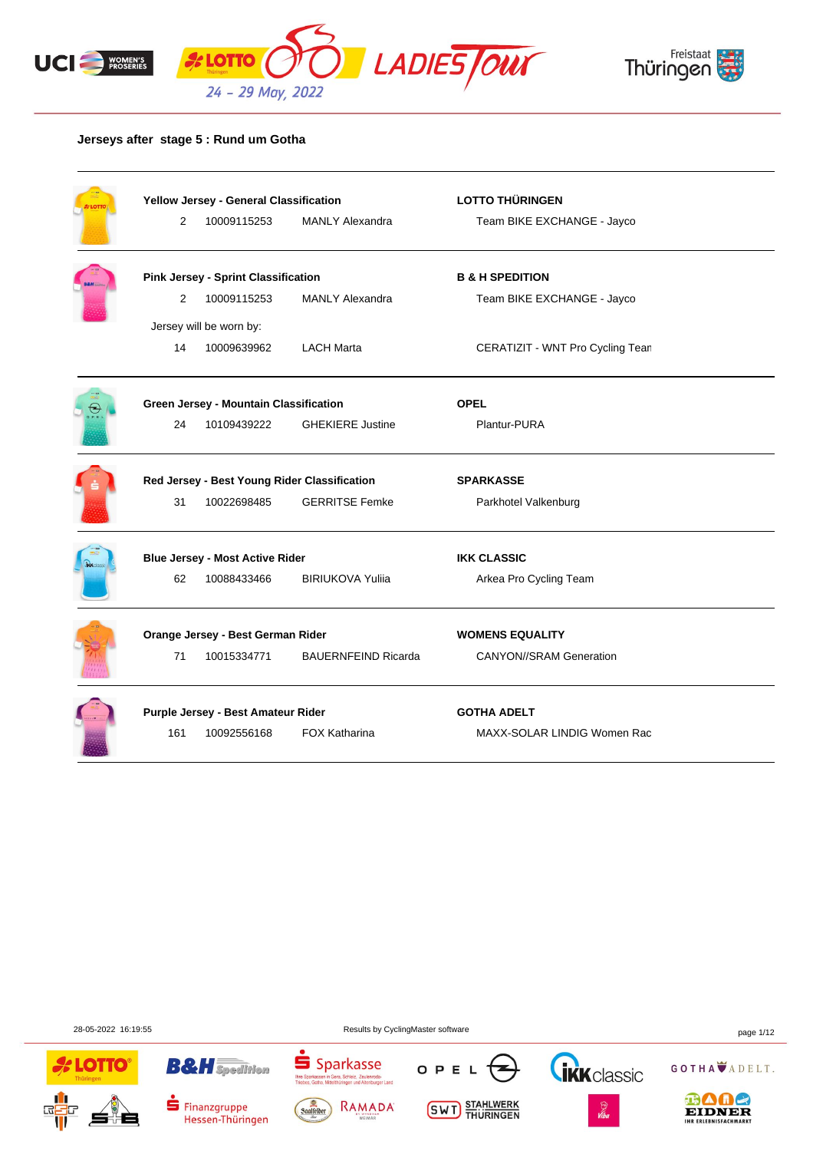



## **Jerseys after stage 5 : Rund um Gotha**

|                         | Yellow Jersey - General Classification       |                            | <b>LOTTO THÜRINGEN</b>           |  |  |
|-------------------------|----------------------------------------------|----------------------------|----------------------------------|--|--|
| $\overline{2}$          | 10009115253                                  | <b>MANLY Alexandra</b>     | Team BIKE EXCHANGE - Jayco       |  |  |
|                         | <b>Pink Jersey - Sprint Classification</b>   |                            | <b>B &amp; H SPEDITION</b>       |  |  |
| $\overline{2}$          | 10009115253                                  | <b>MANLY Alexandra</b>     | Team BIKE EXCHANGE - Jayco       |  |  |
| Jersey will be worn by: |                                              |                            |                                  |  |  |
| 14                      | 10009639962                                  | <b>LACH Marta</b>          | CERATIZIT - WNT Pro Cycling Tean |  |  |
|                         | Green Jersey - Mountain Classification       |                            | <b>OPEL</b>                      |  |  |
| 24                      | 10109439222                                  | <b>GHEKIERE Justine</b>    | Plantur-PURA                     |  |  |
|                         | Red Jersey - Best Young Rider Classification |                            | <b>SPARKASSE</b>                 |  |  |
| 31                      | 10022698485                                  | <b>GERRITSE Femke</b>      | Parkhotel Valkenburg             |  |  |
|                         | <b>Blue Jersey - Most Active Rider</b>       |                            | <b>IKK CLASSIC</b>               |  |  |
| 62                      | 10088433466                                  | <b>BIRIUKOVA Yulija</b>    | Arkea Pro Cycling Team           |  |  |
|                         | Orange Jersey - Best German Rider            |                            | <b>WOMENS EQUALITY</b>           |  |  |
| 71                      | 10015334771                                  | <b>BAUERNFEIND Ricarda</b> | <b>CANYON//SRAM Generation</b>   |  |  |
|                         |                                              |                            |                                  |  |  |
|                         | Purple Jersey - Best Amateur Rider           |                            | <b>GOTHA ADELT</b>               |  |  |

28-05-2022 16:19:55 Results by CyclingMaster software page 1/12

OTTC

됴





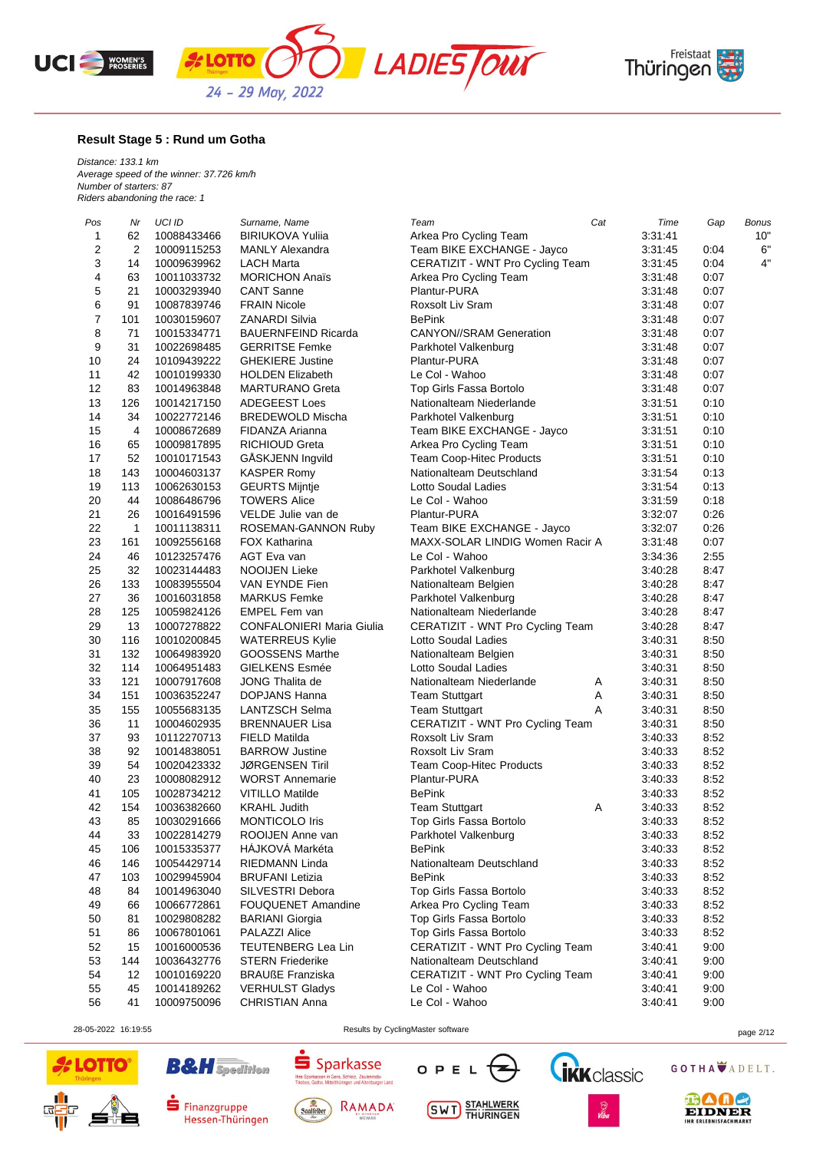





### **Result Stage 5 : Rund um Gotha**

*Distance: 133.1 km Average speed of the winner: 37.726 km/h Number of starters: 87 Riders abandoning the race: 1*

| Pos                     | Nr             | <b>UCI ID</b> | Surname, Name                    | Team                             | Cat | Time    | Gap  | <b>Bonus</b> |
|-------------------------|----------------|---------------|----------------------------------|----------------------------------|-----|---------|------|--------------|
| 1                       | 62             | 10088433466   | <b>BIRIUKOVA Yuliia</b>          | Arkea Pro Cycling Team           |     | 3:31:41 |      | 10"          |
| $\overline{\mathbf{c}}$ | $\overline{2}$ | 10009115253   | <b>MANLY Alexandra</b>           | Team BIKE EXCHANGE - Jayco       |     | 3:31:45 | 0:04 | 6"           |
| 3                       | 14             | 10009639962   | <b>LACH Marta</b>                | CERATIZIT - WNT Pro Cycling Team |     | 3:31:45 | 0:04 | 4"           |
| 4                       | 63             | 10011033732   | <b>MORICHON Anaïs</b>            | Arkea Pro Cycling Team           |     | 3:31:48 | 0:07 |              |
| 5                       | 21             | 10003293940   | <b>CANT Sanne</b>                | Plantur-PURA                     |     | 3:31:48 | 0:07 |              |
| 6                       | 91             | 10087839746   | <b>FRAIN Nicole</b>              | Roxsolt Liv Sram                 |     | 3:31:48 | 0:07 |              |
| 7                       | 101            | 10030159607   | <b>ZANARDI Silvia</b>            | <b>BePink</b>                    |     | 3:31:48 | 0:07 |              |
| 8                       | 71             | 10015334771   | <b>BAUERNFEIND Ricarda</b>       | <b>CANYON//SRAM Generation</b>   |     | 3:31:48 | 0:07 |              |
| 9                       | 31             | 10022698485   | <b>GERRITSE Femke</b>            | Parkhotel Valkenburg             |     | 3:31:48 | 0:07 |              |
| 10                      | 24             | 10109439222   | <b>GHEKIERE Justine</b>          | Plantur-PURA                     |     | 3:31:48 | 0:07 |              |
| 11                      | 42             | 10010199330   | <b>HOLDEN Elizabeth</b>          | Le Col - Wahoo                   |     | 3:31:48 | 0:07 |              |
| 12                      | 83             | 10014963848   | <b>MARTURANO Greta</b>           | Top Girls Fassa Bortolo          |     | 3:31:48 | 0:07 |              |
| 13                      | 126            | 10014217150   | <b>ADEGEEST Loes</b>             | Nationalteam Niederlande         |     | 3:31:51 | 0:10 |              |
| 14                      | 34             | 10022772146   | <b>BREDEWOLD Mischa</b>          | Parkhotel Valkenburg             |     | 3:31:51 | 0:10 |              |
| 15                      | 4              | 10008672689   | FIDANZA Arianna                  | Team BIKE EXCHANGE - Jayco       |     | 3:31:51 | 0:10 |              |
| 16                      | 65             | 10009817895   | <b>RICHIOUD Greta</b>            | Arkea Pro Cycling Team           |     | 3:31:51 | 0:10 |              |
| 17                      | 52             | 10010171543   | GÅSKJENN Ingvild                 | <b>Team Coop-Hitec Products</b>  |     | 3:31:51 | 0:10 |              |
| 18                      | 143            | 10004603137   | <b>KASPER Romy</b>               | Nationalteam Deutschland         |     | 3:31:54 | 0:13 |              |
| 19                      | 113            | 10062630153   | <b>GEURTS Mijntje</b>            | Lotto Soudal Ladies              |     | 3:31:54 | 0:13 |              |
| 20                      | 44             | 10086486796   | <b>TOWERS Alice</b>              | Le Col - Wahoo                   |     | 3:31:59 | 0:18 |              |
| 21                      | 26             | 10016491596   | VELDE Julie van de               | Plantur-PURA                     |     | 3:32:07 | 0:26 |              |
| 22                      | $\mathbf{1}$   | 10011138311   | ROSEMAN-GANNON Ruby              | Team BIKE EXCHANGE - Jayco       |     | 3:32:07 | 0:26 |              |
| 23                      | 161            | 10092556168   | <b>FOX Katharina</b>             | MAXX-SOLAR LINDIG Women Racir A  |     | 3:31:48 | 0:07 |              |
| 24                      | 46             | 10123257476   | AGT Eva van                      | Le Col - Wahoo                   |     | 3:34:36 | 2:55 |              |
| 25                      | 32             | 10023144483   | NOOIJEN Lieke                    | Parkhotel Valkenburg             |     | 3:40:28 | 8:47 |              |
| 26                      | 133            | 10083955504   | VAN EYNDE Fien                   | Nationalteam Belgien             |     | 3:40:28 | 8:47 |              |
| 27                      | 36             | 10016031858   | <b>MARKUS Femke</b>              | Parkhotel Valkenburg             |     | 3:40:28 | 8:47 |              |
| 28                      | 125            | 10059824126   | <b>EMPEL Fem van</b>             | Nationalteam Niederlande         |     | 3:40:28 | 8:47 |              |
| 29                      | 13             | 10007278822   | <b>CONFALONIERI Maria Giulia</b> | CERATIZIT - WNT Pro Cycling Team |     | 3:40:28 | 8:47 |              |
| 30                      | 116            | 10010200845   | <b>WATERREUS Kylie</b>           | Lotto Soudal Ladies              |     | 3:40:31 | 8:50 |              |
| 31                      | 132            | 10064983920   | <b>GOOSSENS Marthe</b>           | Nationalteam Belgien             |     | 3:40:31 | 8:50 |              |
| 32                      | 114            | 10064951483   | <b>GIELKENS Esmée</b>            | Lotto Soudal Ladies              |     | 3:40:31 | 8:50 |              |
| 33                      | 121            | 10007917608   | JONG Thalita de                  | Nationalteam Niederlande         | A   | 3:40:31 | 8:50 |              |
| 34                      | 151            | 10036352247   | DOPJANS Hanna                    | <b>Team Stuttgart</b>            | Α   | 3:40:31 | 8:50 |              |
| 35                      | 155            | 10055683135   | LANTZSCH Selma                   | <b>Team Stuttgart</b>            | A   | 3:40:31 | 8:50 |              |
| 36                      | 11             | 10004602935   | <b>BRENNAUER Lisa</b>            | CERATIZIT - WNT Pro Cycling Team |     | 3:40:31 | 8:50 |              |
| 37                      | 93             | 10112270713   | FIELD Matilda                    | Roxsolt Liv Sram                 |     | 3:40:33 | 8:52 |              |
| 38                      | 92             | 10014838051   | <b>BARROW Justine</b>            | Roxsolt Liv Sram                 |     | 3:40:33 | 8:52 |              |
| 39                      | 54             | 10020423332   | <b>JØRGENSEN Tiril</b>           | Team Coop-Hitec Products         |     | 3:40:33 | 8:52 |              |
| 40                      | 23             | 10008082912   | <b>WORST Annemarie</b>           | Plantur-PURA                     |     | 3:40:33 | 8:52 |              |
| 41                      | 105            | 10028734212   | <b>VITILLO Matilde</b>           | <b>BePink</b>                    |     | 3:40:33 | 8:52 |              |
| 42                      | 154            | 10036382660   | <b>KRAHL Judith</b>              | <b>Team Stuttgart</b>            | Α   | 3:40:33 | 8:52 |              |
| 43                      | 85             | 10030291666   | <b>MONTICOLO Iris</b>            | Top Girls Fassa Bortolo          |     | 3:40:33 | 8:52 |              |
| 44                      | 33             | 10022814279   | ROOIJEN Anne van                 | Parkhotel Valkenburg             |     | 3:40:33 | 8:52 |              |
| 45                      | 106            | 10015335377   | HÁJKOVÁ Markéta                  | <b>BePink</b>                    |     | 3:40:33 | 8:52 |              |
| 46                      | 146            | 10054429714   | RIEDMANN Linda                   | Nationalteam Deutschland         |     | 3:40:33 | 8:52 |              |
| 47                      | 103            | 10029945904   | <b>BRUFANI</b> Letizia           | <b>BePink</b>                    |     | 3:40:33 | 8:52 |              |
| 48                      | 84             | 10014963040   | SILVESTRI Debora                 | Top Girls Fassa Bortolo          |     | 3:40:33 | 8:52 |              |
| 49                      | 66             | 10066772861   | <b>FOUQUENET Amandine</b>        | Arkea Pro Cycling Team           |     | 3:40:33 | 8:52 |              |
| 50                      | 81             | 10029808282   | <b>BARIANI Giorgia</b>           | Top Girls Fassa Bortolo          |     | 3:40:33 | 8:52 |              |
| 51                      | 86             | 10067801061   | <b>PALAZZI Alice</b>             | Top Girls Fassa Bortolo          |     | 3:40:33 | 8:52 |              |
| 52                      | 15             | 10016000536   | TEUTENBERG Lea Lin               | CERATIZIT - WNT Pro Cycling Team |     | 3:40:41 | 9:00 |              |
| 53                      | 144            | 10036432776   | <b>STERN Friederike</b>          | Nationalteam Deutschland         |     | 3:40:41 | 9:00 |              |
| 54                      | 12             | 10010169220   | <b>BRAUßE Franziska</b>          | CERATIZIT - WNT Pro Cycling Team |     | 3:40:41 | 9:00 |              |
| 55                      | 45             | 10014189262   | <b>VERHULST Gladys</b>           | Le Col - Wahoo                   |     | 3:40:41 | 9:00 |              |
| 56                      | 41             | 10009750096   | CHRISTIAN Anna                   | Le Col - Wahoo                   |     | 3:40:41 | 9:00 |              |

**B&H** Spedition

Finanzgruppe

Hessen-Thüringen



28-05-2022 16:19:55 Results by CyclingMaster software page 2/12





**SWT** STAHLWERK





**BAAC EIDNER**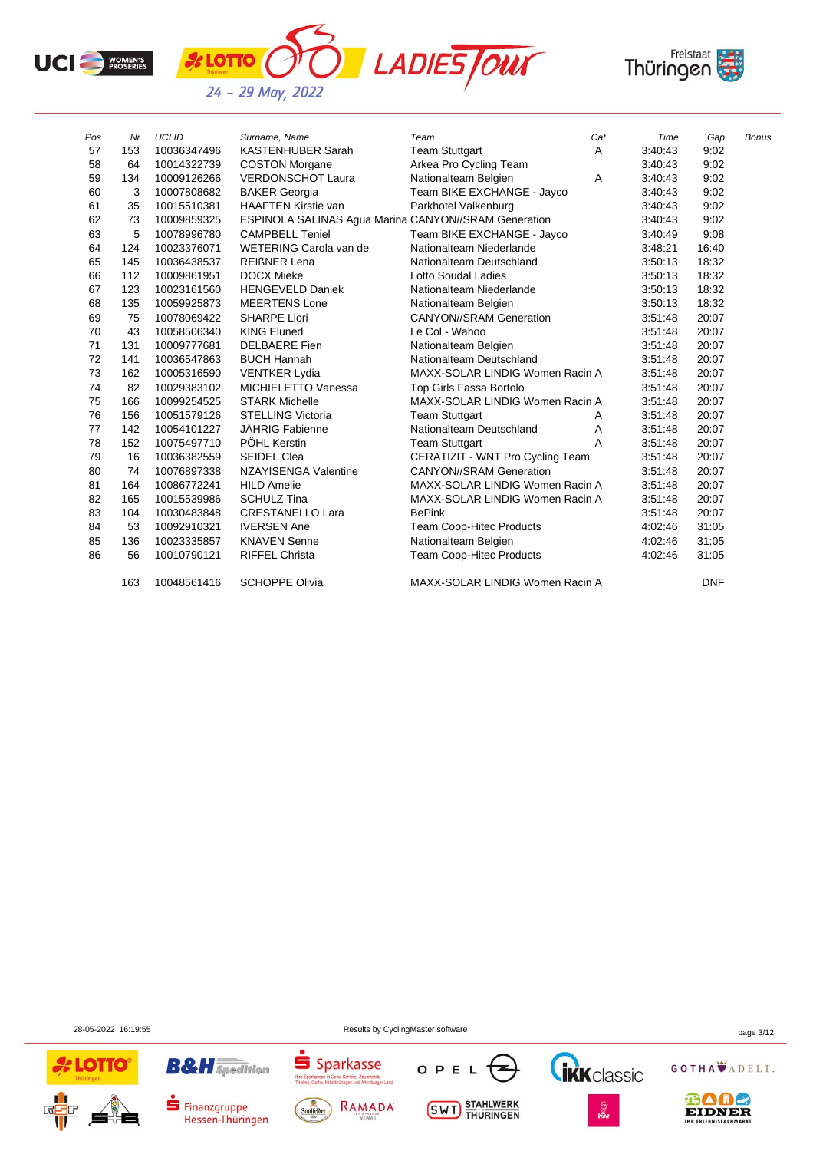



| Pos | Nr  | <b>UCI ID</b> | Surname, Name                                        | Team                             | Cat | Time    | Gap        | <b>Bonus</b> |
|-----|-----|---------------|------------------------------------------------------|----------------------------------|-----|---------|------------|--------------|
| 57  | 153 | 10036347496   | <b>KASTENHUBER Sarah</b>                             | <b>Team Stuttgart</b>            | Α   | 3:40:43 | 9:02       |              |
| 58  | 64  | 10014322739   | <b>COSTON Morgane</b>                                | Arkea Pro Cycling Team           |     | 3:40:43 | 9:02       |              |
| 59  | 134 | 10009126266   | <b>VERDONSCHOT Laura</b>                             | Nationalteam Belgien             | A   | 3:40:43 | 9:02       |              |
| 60  | 3   | 10007808682   | <b>BAKER Georgia</b>                                 | Team BIKE EXCHANGE - Jayco       |     | 3:40:43 | 9:02       |              |
| 61  | 35  | 10015510381   | <b>HAAFTEN Kirstie van</b>                           | Parkhotel Valkenburg             |     | 3:40:43 | 9:02       |              |
| 62  | 73  | 10009859325   | ESPINOLA SALINAS Agua Marina CANYON//SRAM Generation |                                  |     | 3:40:43 | 9:02       |              |
| 63  | 5   | 10078996780   | <b>CAMPBELL Teniel</b>                               | Team BIKE EXCHANGE - Jayco       |     | 3:40:49 | 9:08       |              |
| 64  | 124 | 10023376071   | WETERING Carola van de                               | Nationalteam Niederlande         |     | 3:48:21 | 16:40      |              |
| 65  | 145 | 10036438537   | <b>REIGNER Lena</b>                                  | Nationalteam Deutschland         |     | 3:50:13 | 18:32      |              |
| 66  | 112 | 10009861951   | <b>DOCX Mieke</b>                                    | <b>Lotto Soudal Ladies</b>       |     | 3:50:13 | 18:32      |              |
| 67  | 123 | 10023161560   | <b>HENGEVELD Daniek</b>                              | Nationalteam Niederlande         |     | 3:50:13 | 18:32      |              |
| 68  | 135 | 10059925873   | <b>MEERTENS Lone</b>                                 | Nationalteam Belgien             |     | 3:50:13 | 18:32      |              |
| 69  | 75  | 10078069422   | <b>SHARPE Llori</b>                                  | <b>CANYON//SRAM Generation</b>   |     | 3:51:48 | 20:07      |              |
| 70  | 43  | 10058506340   | <b>KING Eluned</b>                                   | Le Col - Wahoo                   |     | 3:51:48 | 20:07      |              |
| 71  | 131 | 10009777681   | <b>DELBAERE</b> Fien                                 | Nationalteam Belgien             |     | 3:51:48 | 20:07      |              |
| 72  | 141 | 10036547863   | <b>BUCH Hannah</b>                                   | Nationalteam Deutschland         |     | 3:51:48 | 20:07      |              |
| 73  | 162 | 10005316590   | <b>VENTKER Lydia</b>                                 | MAXX-SOLAR LINDIG Women Racin A  |     | 3:51:48 | 20:07      |              |
| 74  | 82  | 10029383102   | MICHIELETTO Vanessa                                  | Top Girls Fassa Bortolo          |     | 3:51:48 | 20:07      |              |
| 75  | 166 | 10099254525   | <b>STARK Michelle</b>                                | MAXX-SOLAR LINDIG Women Racin A  |     | 3:51:48 | 20:07      |              |
| 76  | 156 | 10051579126   | <b>STELLING Victoria</b>                             | <b>Team Stuttgart</b>            | Α   | 3.51.48 | 20:07      |              |
| 77  | 142 | 10054101227   | <b>JÄHRIG Fabienne</b>                               | Nationalteam Deutschland         | Α   | 3:51:48 | 20:07      |              |
| 78  | 152 | 10075497710   | PÖHL Kerstin                                         | <b>Team Stuttgart</b>            | A   | 3:51:48 | 20:07      |              |
| 79  | 16  | 10036382559   | <b>SEIDEL Clea</b>                                   | CERATIZIT - WNT Pro Cycling Team |     | 3:51:48 | 20:07      |              |
| 80  | 74  | 10076897338   | NZAYISENGA Valentine                                 | <b>CANYON//SRAM Generation</b>   |     | 3:51:48 | 20:07      |              |
| 81  | 164 | 10086772241   | <b>HILD Amelie</b>                                   | MAXX-SOLAR LINDIG Women Racin A  |     | 3:51:48 | 20:07      |              |
| 82  | 165 | 10015539986   | <b>SCHULZ Tina</b>                                   | MAXX-SOLAR LINDIG Women Racin A  |     | 3:51:48 | 20:07      |              |
| 83  | 104 | 10030483848   | <b>CRESTANELLO Lara</b>                              | <b>BePink</b>                    |     | 3:51:48 | 20:07      |              |
| 84  | 53  | 10092910321   | <b>IVERSEN Ane</b>                                   | <b>Team Coop-Hitec Products</b>  |     | 4:02:46 | 31:05      |              |
| 85  | 136 | 10023335857   | <b>KNAVEN Senne</b>                                  | Nationalteam Belgien             |     | 4:02:46 | 31:05      |              |
| 86  | 56  | 10010790121   | <b>RIFFEL Christa</b>                                | Team Coop-Hitec Products         |     | 4:02:46 | 31:05      |              |
|     | 163 | 10048561416   | <b>SCHOPPE Olivia</b>                                | MAXX-SOLAR LINDIG Women Racin A  |     |         | <b>DNF</b> |              |

28-05-2022 16:19:55 Results by CyclingMaster software page 3/12

**OTTO** 

 $\overline{5}$ 

Sparkassen in Gera, Schleiz, Zeulenroda-

Ihre Sparkassen in Gera, Schleiz, Zeulenroda-<br>Triebes, Gotha, Mittelthüringen und Altenburger Land









GOTHA ADELT.



# $\blacksquare$  Finanzgruppe Hessen-Thüringen

**B&H** Spedition



**SWT** STAHLWERK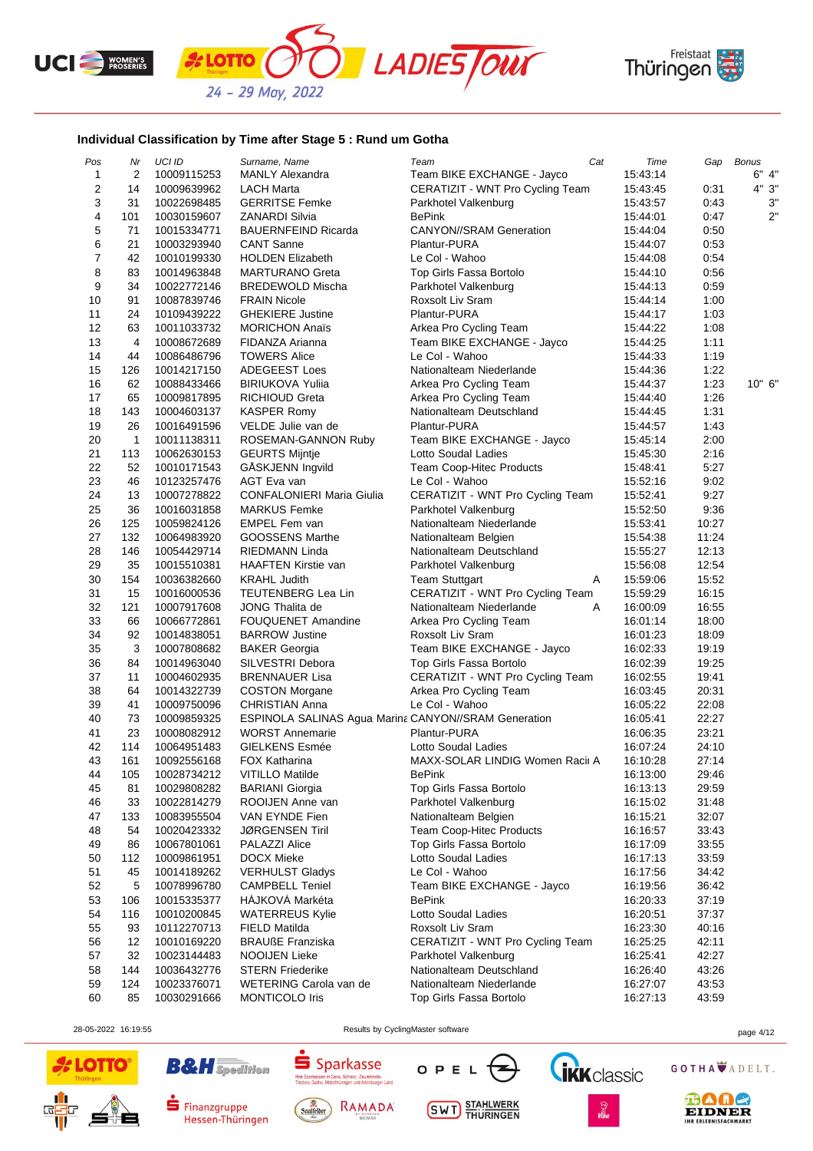





## **Individual Classification by Time after Stage 5 : Rund um Gotha**

*k* **LOTTO** 

| 10009115253<br>Team BIKE EXCHANGE - Jayco<br>15:43:14<br>$\mathbf{1}$<br>2<br><b>MANLY Alexandra</b><br>2<br>14<br>10009639962<br>LACH Marta<br>CERATIZIT - WNT Pro Cycling Team<br>15:43:45<br>0:31<br>3<br>31<br>10022698485<br><b>GERRITSE Femke</b><br>Parkhotel Valkenburg<br>15:43:57<br>0:43<br>4<br>101<br><b>BePink</b><br>10030159607<br><b>ZANARDI Silvia</b><br>15:44:01<br>0:47<br>5<br>71<br>10015334771<br><b>BAUERNFEIND Ricarda</b><br><b>CANYON//SRAM Generation</b><br>0:50<br>15:44:04<br>6<br>21<br>10003293940<br><b>CANT Sanne</b><br>Plantur-PURA<br>0:53<br>15:44:07<br>$\overline{7}$<br>42<br>10010199330<br><b>HOLDEN Elizabeth</b><br>Le Col - Wahoo<br>15:44:08<br>0:54<br>8<br>83<br>10014963848<br><b>MARTURANO Greta</b><br>Top Girls Fassa Bortolo<br>15:44:10<br>0:56<br>9<br>34<br>10022772146<br><b>BREDEWOLD Mischa</b><br>Parkhotel Valkenburg<br>15:44:13<br>0:59<br>10<br>91<br>10087839746<br>Roxsolt Liv Sram<br>1:00<br><b>FRAIN Nicole</b><br>15:44:14<br>11<br>24<br><b>GHEKIERE Justine</b><br>Plantur-PURA<br>1:03<br>10109439222<br>15:44:17<br>12<br>63<br>10011033732<br><b>MORICHON Anaïs</b><br>Arkea Pro Cycling Team<br>15:44:22<br>1:08<br>13<br>4<br>10008672689<br>Team BIKE EXCHANGE - Jayco<br>1:11<br>FIDANZA Arianna<br>15:44:25<br>14<br>44<br><b>TOWERS Alice</b><br>Le Col - Wahoo<br>15:44:33<br>1:19<br>10086486796<br>15<br>126<br>10014217150<br>ADEGEEST Loes<br>Nationalteam Niederlande<br>15:44:36<br>1:22<br>10" 6"<br>16<br>62<br>Arkea Pro Cycling Team<br>1:23<br>10088433466<br><b>BIRIUKOVA Yulija</b><br>15:44:37<br>17<br>65<br>Arkea Pro Cycling Team<br>10009817895<br>RICHIOUD Greta<br>15:44:40<br>1:26<br>18<br>143<br>Nationalteam Deutschland<br>1:31<br>10004603137<br>KASPER Romy<br>15:44:45<br>19<br>26<br>VELDE Julie van de<br>Plantur-PURA<br>10016491596<br>15:44:57<br>1:43<br>20<br>1<br>10011138311<br>2:00<br>ROSEMAN-GANNON Ruby<br>Team BIKE EXCHANGE - Jayco<br>15:45:14<br>21<br>113<br>Lotto Soudal Ladies<br>10062630153<br><b>GEURTS Mijntje</b><br>15:45:30<br>2:16<br>22<br>52<br>10010171543<br>GASKJENN Ingvild<br>Team Coop-Hitec Products<br>15:48:41<br>5:27<br>23<br>46<br>10123257476<br>AGT Eva van<br>Le Col - Wahoo<br>15:52:16<br>9:02<br>24<br>13<br><b>CONFALONIERI Maria Giulia</b><br>CERATIZIT - WNT Pro Cycling Team<br>15:52:41<br>9:27<br>10007278822<br>25<br>36<br>10016031858<br><b>MARKUS Femke</b><br>15:52:50<br>9:36<br>Parkhotel Valkenburg<br>26<br>125<br>10059824126<br><b>EMPEL Fem van</b><br>Nationalteam Niederlande<br>15:53:41<br>10:27<br>27<br>132<br>10064983920<br>GOOSSENS Marthe<br>Nationalteam Belgien<br>15:54:38<br>11:24<br>28<br>146<br>Nationalteam Deutschland<br>12:13<br>10054429714<br>RIEDMANN Linda<br>15:55:27<br>35<br>29<br>12:54<br>10015510381<br><b>HAAFTEN Kirstie van</b><br>Parkhotel Valkenburg<br>15:56:08<br>30<br>154<br>10036382660<br>Α<br>15:59:06<br>15:52<br><b>KRAHL Judith</b><br><b>Team Stuttgart</b><br>31<br>15<br><b>TEUTENBERG Lea Lin</b><br>CERATIZIT - WNT Pro Cycling Team<br>15:59:29<br>16:15<br>10016000536<br>32<br>121<br>10007917608<br>JONG Thalita de<br>16:00:09<br>16:55<br>Nationalteam Niederlande<br>A<br>33<br>66<br>10066772861<br>16:01:14<br>18:00<br><b>FOUQUENET Amandine</b><br>Arkea Pro Cycling Team<br>34<br>92<br>10014838051<br><b>BARROW Justine</b><br>Roxsolt Liv Sram<br>16:01:23<br>18:09<br>3<br>35<br><b>BAKER Georgia</b><br>Team BIKE EXCHANGE - Jayco<br>16:02:33<br>10007808682<br>19:19<br>36<br>84<br>19:25<br>10014963040<br>SILVESTRI Debora<br>Top Girls Fassa Bortolo<br>16:02:39<br>37<br>11<br>CERATIZIT - WNT Pro Cycling Team<br>10004602935<br><b>BRENNAUER Lisa</b><br>16:02:55<br>19:41<br>38<br>64<br>10014322739<br><b>COSTON Morgane</b><br>Arkea Pro Cycling Team<br>16:03:45<br>20:31<br>39<br>41<br>10009750096<br><b>CHRISTIAN Anna</b><br>Le Col - Wahoo<br>16:05:22<br>22:08<br>73<br>22:27<br>40<br>ESPINOLA SALINAS Agua Marina CANYON//SRAM Generation<br>10009859325<br>16:05:41<br>41<br>23<br>Plantur-PURA<br>16:06:35<br>23:21<br>10008082912<br><b>WORST Annemarie</b><br>42<br>114<br><b>GIELKENS Esmée</b><br>24:10<br>10064951483<br>Lotto Soudal Ladies<br>16:07:24<br>43<br>161<br>27:14<br>10092556168<br>FOX Katharina<br>MAXX-SOLAR LINDIG Women Racii A<br>16:10:28<br><b>VITILLO Matilde</b><br>44<br>105<br>10028734212<br><b>BePink</b><br>16:13:00<br>29:46<br>29:59<br>45<br>81<br>10029808282<br><b>BARIANI</b> Giorgia<br>Top Girls Fassa Bortolo<br>16:13:13<br>Parkhotel Valkenburg<br>46<br>33<br>10022814279<br>ROOIJEN Anne van<br>16:15:02<br>31:48<br>47<br>133<br>VAN EYNDE Fien<br>Nationalteam Belgien<br>32:07<br>10083955504<br>16:15:21<br>54<br><b>Team Coop-Hitec Products</b><br>48<br>10020423332<br><b>JØRGENSEN Tiril</b><br>16:16:57<br>33:43<br>Top Girls Fassa Bortolo<br>49<br>86<br>10067801061<br>PALAZZI Alice<br>33:55<br>16:17:09<br>112<br><b>DOCX Mieke</b><br>Lotto Soudal Ladies<br>33:59<br>50<br>10009861951<br>16:17:13<br>51<br>45<br><b>VERHULST Gladys</b><br>Le Col - Wahoo<br>34:42<br>10014189262<br>16:17:56<br>52<br><b>CAMPBELL Teniel</b><br>Team BIKE EXCHANGE - Jayco<br>36:42<br>5<br>10078996780<br>16:19:56<br>HÁJKOVÁ Markéta<br>37:19<br>53<br>106<br>10015335377<br><b>BePink</b><br>16:20:33<br>54<br>Lotto Soudal Ladies<br>116<br>10010200845<br><b>WATERREUS Kylie</b><br>16:20:51<br>37:37<br>10112270713<br>FIELD Matilda<br>Roxsolt Liv Sram<br>40:16<br>55<br>93<br>16:23:30<br><b>BRAUßE Franziska</b><br>CERATIZIT - WNT Pro Cycling Team<br>42:11<br>56<br>12<br>10010169220<br>16:25:25<br>57<br>32<br><b>NOOIJEN Lieke</b><br>42:27<br>10023144483<br>Parkhotel Valkenburg<br>16:25:41<br>Nationalteam Deutschland<br>43:26<br>58<br>144<br>10036432776<br><b>STERN Friederike</b><br>16:26:40<br>59<br>124<br>Nationalteam Niederlande<br>10023376071<br>WETERING Carola van de<br>43:53<br>16:27:07<br>85<br>10030291666<br>MONTICOLO Iris<br>Top Girls Fassa Bortolo<br>43:59<br>60<br>16:27:13 | Pos | Nr | UCI ID | Surname, Name | Team | Cat | Time | Gap | <b>Bonus</b> |
|----------------------------------------------------------------------------------------------------------------------------------------------------------------------------------------------------------------------------------------------------------------------------------------------------------------------------------------------------------------------------------------------------------------------------------------------------------------------------------------------------------------------------------------------------------------------------------------------------------------------------------------------------------------------------------------------------------------------------------------------------------------------------------------------------------------------------------------------------------------------------------------------------------------------------------------------------------------------------------------------------------------------------------------------------------------------------------------------------------------------------------------------------------------------------------------------------------------------------------------------------------------------------------------------------------------------------------------------------------------------------------------------------------------------------------------------------------------------------------------------------------------------------------------------------------------------------------------------------------------------------------------------------------------------------------------------------------------------------------------------------------------------------------------------------------------------------------------------------------------------------------------------------------------------------------------------------------------------------------------------------------------------------------------------------------------------------------------------------------------------------------------------------------------------------------------------------------------------------------------------------------------------------------------------------------------------------------------------------------------------------------------------------------------------------------------------------------------------------------------------------------------------------------------------------------------------------------------------------------------------------------------------------------------------------------------------------------------------------------------------------------------------------------------------------------------------------------------------------------------------------------------------------------------------------------------------------------------------------------------------------------------------------------------------------------------------------------------------------------------------------------------------------------------------------------------------------------------------------------------------------------------------------------------------------------------------------------------------------------------------------------------------------------------------------------------------------------------------------------------------------------------------------------------------------------------------------------------------------------------------------------------------------------------------------------------------------------------------------------------------------------------------------------------------------------------------------------------------------------------------------------------------------------------------------------------------------------------------------------------------------------------------------------------------------------------------------------------------------------------------------------------------------------------------------------------------------------------------------------------------------------------------------------------------------------------------------------------------------------------------------------------------------------------------------------------------------------------------------------------------------------------------------------------------------------------------------------------------------------------------------------------------------------------------------------------------------------------------------------------------------------------------------------------------------------------------------------------------------------------------------------------------------------------------------------------------------------------------------------------------------------------------------------------------------------------------------------------------------------------------------------------------------------------------------------------------------------------------------------------------------------------------------------------------------------------------------------------------------------------------------------------------------------------------------------------------------------------------------------------------------------------------------------------------------------------------------------------------------------------------------------------------------------------------------------------------------------------------------------------------------------------------------------------------------------------------------------------------------------------------------------------------------------------------------------------------------------------------------------------------------------------------------------------------------------|-----|----|--------|---------------|------|-----|------|-----|--------------|
|                                                                                                                                                                                                                                                                                                                                                                                                                                                                                                                                                                                                                                                                                                                                                                                                                                                                                                                                                                                                                                                                                                                                                                                                                                                                                                                                                                                                                                                                                                                                                                                                                                                                                                                                                                                                                                                                                                                                                                                                                                                                                                                                                                                                                                                                                                                                                                                                                                                                                                                                                                                                                                                                                                                                                                                                                                                                                                                                                                                                                                                                                                                                                                                                                                                                                                                                                                                                                                                                                                                                                                                                                                                                                                                                                                                                                                                                                                                                                                                                                                                                                                                                                                                                                                                                                                                                                                                                                                                                                                                                                                                                                                                                                                                                                                                                                                                                                                                                                                                                                                                                                                                                                                                                                                                                                                                                                                                                                                                                                                                                                                                                                                                                                                                                                                                                                                                                                                                                                                                                                                                          |     |    |        |               |      |     |      |     | 6" 4"        |
|                                                                                                                                                                                                                                                                                                                                                                                                                                                                                                                                                                                                                                                                                                                                                                                                                                                                                                                                                                                                                                                                                                                                                                                                                                                                                                                                                                                                                                                                                                                                                                                                                                                                                                                                                                                                                                                                                                                                                                                                                                                                                                                                                                                                                                                                                                                                                                                                                                                                                                                                                                                                                                                                                                                                                                                                                                                                                                                                                                                                                                                                                                                                                                                                                                                                                                                                                                                                                                                                                                                                                                                                                                                                                                                                                                                                                                                                                                                                                                                                                                                                                                                                                                                                                                                                                                                                                                                                                                                                                                                                                                                                                                                                                                                                                                                                                                                                                                                                                                                                                                                                                                                                                                                                                                                                                                                                                                                                                                                                                                                                                                                                                                                                                                                                                                                                                                                                                                                                                                                                                                                          |     |    |        |               |      |     |      |     | 4"3"         |
|                                                                                                                                                                                                                                                                                                                                                                                                                                                                                                                                                                                                                                                                                                                                                                                                                                                                                                                                                                                                                                                                                                                                                                                                                                                                                                                                                                                                                                                                                                                                                                                                                                                                                                                                                                                                                                                                                                                                                                                                                                                                                                                                                                                                                                                                                                                                                                                                                                                                                                                                                                                                                                                                                                                                                                                                                                                                                                                                                                                                                                                                                                                                                                                                                                                                                                                                                                                                                                                                                                                                                                                                                                                                                                                                                                                                                                                                                                                                                                                                                                                                                                                                                                                                                                                                                                                                                                                                                                                                                                                                                                                                                                                                                                                                                                                                                                                                                                                                                                                                                                                                                                                                                                                                                                                                                                                                                                                                                                                                                                                                                                                                                                                                                                                                                                                                                                                                                                                                                                                                                                                          |     |    |        |               |      |     |      |     | 3"           |
|                                                                                                                                                                                                                                                                                                                                                                                                                                                                                                                                                                                                                                                                                                                                                                                                                                                                                                                                                                                                                                                                                                                                                                                                                                                                                                                                                                                                                                                                                                                                                                                                                                                                                                                                                                                                                                                                                                                                                                                                                                                                                                                                                                                                                                                                                                                                                                                                                                                                                                                                                                                                                                                                                                                                                                                                                                                                                                                                                                                                                                                                                                                                                                                                                                                                                                                                                                                                                                                                                                                                                                                                                                                                                                                                                                                                                                                                                                                                                                                                                                                                                                                                                                                                                                                                                                                                                                                                                                                                                                                                                                                                                                                                                                                                                                                                                                                                                                                                                                                                                                                                                                                                                                                                                                                                                                                                                                                                                                                                                                                                                                                                                                                                                                                                                                                                                                                                                                                                                                                                                                                          |     |    |        |               |      |     |      |     | 2"           |
|                                                                                                                                                                                                                                                                                                                                                                                                                                                                                                                                                                                                                                                                                                                                                                                                                                                                                                                                                                                                                                                                                                                                                                                                                                                                                                                                                                                                                                                                                                                                                                                                                                                                                                                                                                                                                                                                                                                                                                                                                                                                                                                                                                                                                                                                                                                                                                                                                                                                                                                                                                                                                                                                                                                                                                                                                                                                                                                                                                                                                                                                                                                                                                                                                                                                                                                                                                                                                                                                                                                                                                                                                                                                                                                                                                                                                                                                                                                                                                                                                                                                                                                                                                                                                                                                                                                                                                                                                                                                                                                                                                                                                                                                                                                                                                                                                                                                                                                                                                                                                                                                                                                                                                                                                                                                                                                                                                                                                                                                                                                                                                                                                                                                                                                                                                                                                                                                                                                                                                                                                                                          |     |    |        |               |      |     |      |     |              |
|                                                                                                                                                                                                                                                                                                                                                                                                                                                                                                                                                                                                                                                                                                                                                                                                                                                                                                                                                                                                                                                                                                                                                                                                                                                                                                                                                                                                                                                                                                                                                                                                                                                                                                                                                                                                                                                                                                                                                                                                                                                                                                                                                                                                                                                                                                                                                                                                                                                                                                                                                                                                                                                                                                                                                                                                                                                                                                                                                                                                                                                                                                                                                                                                                                                                                                                                                                                                                                                                                                                                                                                                                                                                                                                                                                                                                                                                                                                                                                                                                                                                                                                                                                                                                                                                                                                                                                                                                                                                                                                                                                                                                                                                                                                                                                                                                                                                                                                                                                                                                                                                                                                                                                                                                                                                                                                                                                                                                                                                                                                                                                                                                                                                                                                                                                                                                                                                                                                                                                                                                                                          |     |    |        |               |      |     |      |     |              |
|                                                                                                                                                                                                                                                                                                                                                                                                                                                                                                                                                                                                                                                                                                                                                                                                                                                                                                                                                                                                                                                                                                                                                                                                                                                                                                                                                                                                                                                                                                                                                                                                                                                                                                                                                                                                                                                                                                                                                                                                                                                                                                                                                                                                                                                                                                                                                                                                                                                                                                                                                                                                                                                                                                                                                                                                                                                                                                                                                                                                                                                                                                                                                                                                                                                                                                                                                                                                                                                                                                                                                                                                                                                                                                                                                                                                                                                                                                                                                                                                                                                                                                                                                                                                                                                                                                                                                                                                                                                                                                                                                                                                                                                                                                                                                                                                                                                                                                                                                                                                                                                                                                                                                                                                                                                                                                                                                                                                                                                                                                                                                                                                                                                                                                                                                                                                                                                                                                                                                                                                                                                          |     |    |        |               |      |     |      |     |              |
|                                                                                                                                                                                                                                                                                                                                                                                                                                                                                                                                                                                                                                                                                                                                                                                                                                                                                                                                                                                                                                                                                                                                                                                                                                                                                                                                                                                                                                                                                                                                                                                                                                                                                                                                                                                                                                                                                                                                                                                                                                                                                                                                                                                                                                                                                                                                                                                                                                                                                                                                                                                                                                                                                                                                                                                                                                                                                                                                                                                                                                                                                                                                                                                                                                                                                                                                                                                                                                                                                                                                                                                                                                                                                                                                                                                                                                                                                                                                                                                                                                                                                                                                                                                                                                                                                                                                                                                                                                                                                                                                                                                                                                                                                                                                                                                                                                                                                                                                                                                                                                                                                                                                                                                                                                                                                                                                                                                                                                                                                                                                                                                                                                                                                                                                                                                                                                                                                                                                                                                                                                                          |     |    |        |               |      |     |      |     |              |
|                                                                                                                                                                                                                                                                                                                                                                                                                                                                                                                                                                                                                                                                                                                                                                                                                                                                                                                                                                                                                                                                                                                                                                                                                                                                                                                                                                                                                                                                                                                                                                                                                                                                                                                                                                                                                                                                                                                                                                                                                                                                                                                                                                                                                                                                                                                                                                                                                                                                                                                                                                                                                                                                                                                                                                                                                                                                                                                                                                                                                                                                                                                                                                                                                                                                                                                                                                                                                                                                                                                                                                                                                                                                                                                                                                                                                                                                                                                                                                                                                                                                                                                                                                                                                                                                                                                                                                                                                                                                                                                                                                                                                                                                                                                                                                                                                                                                                                                                                                                                                                                                                                                                                                                                                                                                                                                                                                                                                                                                                                                                                                                                                                                                                                                                                                                                                                                                                                                                                                                                                                                          |     |    |        |               |      |     |      |     |              |
|                                                                                                                                                                                                                                                                                                                                                                                                                                                                                                                                                                                                                                                                                                                                                                                                                                                                                                                                                                                                                                                                                                                                                                                                                                                                                                                                                                                                                                                                                                                                                                                                                                                                                                                                                                                                                                                                                                                                                                                                                                                                                                                                                                                                                                                                                                                                                                                                                                                                                                                                                                                                                                                                                                                                                                                                                                                                                                                                                                                                                                                                                                                                                                                                                                                                                                                                                                                                                                                                                                                                                                                                                                                                                                                                                                                                                                                                                                                                                                                                                                                                                                                                                                                                                                                                                                                                                                                                                                                                                                                                                                                                                                                                                                                                                                                                                                                                                                                                                                                                                                                                                                                                                                                                                                                                                                                                                                                                                                                                                                                                                                                                                                                                                                                                                                                                                                                                                                                                                                                                                                                          |     |    |        |               |      |     |      |     |              |
|                                                                                                                                                                                                                                                                                                                                                                                                                                                                                                                                                                                                                                                                                                                                                                                                                                                                                                                                                                                                                                                                                                                                                                                                                                                                                                                                                                                                                                                                                                                                                                                                                                                                                                                                                                                                                                                                                                                                                                                                                                                                                                                                                                                                                                                                                                                                                                                                                                                                                                                                                                                                                                                                                                                                                                                                                                                                                                                                                                                                                                                                                                                                                                                                                                                                                                                                                                                                                                                                                                                                                                                                                                                                                                                                                                                                                                                                                                                                                                                                                                                                                                                                                                                                                                                                                                                                                                                                                                                                                                                                                                                                                                                                                                                                                                                                                                                                                                                                                                                                                                                                                                                                                                                                                                                                                                                                                                                                                                                                                                                                                                                                                                                                                                                                                                                                                                                                                                                                                                                                                                                          |     |    |        |               |      |     |      |     |              |
|                                                                                                                                                                                                                                                                                                                                                                                                                                                                                                                                                                                                                                                                                                                                                                                                                                                                                                                                                                                                                                                                                                                                                                                                                                                                                                                                                                                                                                                                                                                                                                                                                                                                                                                                                                                                                                                                                                                                                                                                                                                                                                                                                                                                                                                                                                                                                                                                                                                                                                                                                                                                                                                                                                                                                                                                                                                                                                                                                                                                                                                                                                                                                                                                                                                                                                                                                                                                                                                                                                                                                                                                                                                                                                                                                                                                                                                                                                                                                                                                                                                                                                                                                                                                                                                                                                                                                                                                                                                                                                                                                                                                                                                                                                                                                                                                                                                                                                                                                                                                                                                                                                                                                                                                                                                                                                                                                                                                                                                                                                                                                                                                                                                                                                                                                                                                                                                                                                                                                                                                                                                          |     |    |        |               |      |     |      |     |              |
|                                                                                                                                                                                                                                                                                                                                                                                                                                                                                                                                                                                                                                                                                                                                                                                                                                                                                                                                                                                                                                                                                                                                                                                                                                                                                                                                                                                                                                                                                                                                                                                                                                                                                                                                                                                                                                                                                                                                                                                                                                                                                                                                                                                                                                                                                                                                                                                                                                                                                                                                                                                                                                                                                                                                                                                                                                                                                                                                                                                                                                                                                                                                                                                                                                                                                                                                                                                                                                                                                                                                                                                                                                                                                                                                                                                                                                                                                                                                                                                                                                                                                                                                                                                                                                                                                                                                                                                                                                                                                                                                                                                                                                                                                                                                                                                                                                                                                                                                                                                                                                                                                                                                                                                                                                                                                                                                                                                                                                                                                                                                                                                                                                                                                                                                                                                                                                                                                                                                                                                                                                                          |     |    |        |               |      |     |      |     |              |
|                                                                                                                                                                                                                                                                                                                                                                                                                                                                                                                                                                                                                                                                                                                                                                                                                                                                                                                                                                                                                                                                                                                                                                                                                                                                                                                                                                                                                                                                                                                                                                                                                                                                                                                                                                                                                                                                                                                                                                                                                                                                                                                                                                                                                                                                                                                                                                                                                                                                                                                                                                                                                                                                                                                                                                                                                                                                                                                                                                                                                                                                                                                                                                                                                                                                                                                                                                                                                                                                                                                                                                                                                                                                                                                                                                                                                                                                                                                                                                                                                                                                                                                                                                                                                                                                                                                                                                                                                                                                                                                                                                                                                                                                                                                                                                                                                                                                                                                                                                                                                                                                                                                                                                                                                                                                                                                                                                                                                                                                                                                                                                                                                                                                                                                                                                                                                                                                                                                                                                                                                                                          |     |    |        |               |      |     |      |     |              |
|                                                                                                                                                                                                                                                                                                                                                                                                                                                                                                                                                                                                                                                                                                                                                                                                                                                                                                                                                                                                                                                                                                                                                                                                                                                                                                                                                                                                                                                                                                                                                                                                                                                                                                                                                                                                                                                                                                                                                                                                                                                                                                                                                                                                                                                                                                                                                                                                                                                                                                                                                                                                                                                                                                                                                                                                                                                                                                                                                                                                                                                                                                                                                                                                                                                                                                                                                                                                                                                                                                                                                                                                                                                                                                                                                                                                                                                                                                                                                                                                                                                                                                                                                                                                                                                                                                                                                                                                                                                                                                                                                                                                                                                                                                                                                                                                                                                                                                                                                                                                                                                                                                                                                                                                                                                                                                                                                                                                                                                                                                                                                                                                                                                                                                                                                                                                                                                                                                                                                                                                                                                          |     |    |        |               |      |     |      |     |              |
|                                                                                                                                                                                                                                                                                                                                                                                                                                                                                                                                                                                                                                                                                                                                                                                                                                                                                                                                                                                                                                                                                                                                                                                                                                                                                                                                                                                                                                                                                                                                                                                                                                                                                                                                                                                                                                                                                                                                                                                                                                                                                                                                                                                                                                                                                                                                                                                                                                                                                                                                                                                                                                                                                                                                                                                                                                                                                                                                                                                                                                                                                                                                                                                                                                                                                                                                                                                                                                                                                                                                                                                                                                                                                                                                                                                                                                                                                                                                                                                                                                                                                                                                                                                                                                                                                                                                                                                                                                                                                                                                                                                                                                                                                                                                                                                                                                                                                                                                                                                                                                                                                                                                                                                                                                                                                                                                                                                                                                                                                                                                                                                                                                                                                                                                                                                                                                                                                                                                                                                                                                                          |     |    |        |               |      |     |      |     |              |
|                                                                                                                                                                                                                                                                                                                                                                                                                                                                                                                                                                                                                                                                                                                                                                                                                                                                                                                                                                                                                                                                                                                                                                                                                                                                                                                                                                                                                                                                                                                                                                                                                                                                                                                                                                                                                                                                                                                                                                                                                                                                                                                                                                                                                                                                                                                                                                                                                                                                                                                                                                                                                                                                                                                                                                                                                                                                                                                                                                                                                                                                                                                                                                                                                                                                                                                                                                                                                                                                                                                                                                                                                                                                                                                                                                                                                                                                                                                                                                                                                                                                                                                                                                                                                                                                                                                                                                                                                                                                                                                                                                                                                                                                                                                                                                                                                                                                                                                                                                                                                                                                                                                                                                                                                                                                                                                                                                                                                                                                                                                                                                                                                                                                                                                                                                                                                                                                                                                                                                                                                                                          |     |    |        |               |      |     |      |     |              |
|                                                                                                                                                                                                                                                                                                                                                                                                                                                                                                                                                                                                                                                                                                                                                                                                                                                                                                                                                                                                                                                                                                                                                                                                                                                                                                                                                                                                                                                                                                                                                                                                                                                                                                                                                                                                                                                                                                                                                                                                                                                                                                                                                                                                                                                                                                                                                                                                                                                                                                                                                                                                                                                                                                                                                                                                                                                                                                                                                                                                                                                                                                                                                                                                                                                                                                                                                                                                                                                                                                                                                                                                                                                                                                                                                                                                                                                                                                                                                                                                                                                                                                                                                                                                                                                                                                                                                                                                                                                                                                                                                                                                                                                                                                                                                                                                                                                                                                                                                                                                                                                                                                                                                                                                                                                                                                                                                                                                                                                                                                                                                                                                                                                                                                                                                                                                                                                                                                                                                                                                                                                          |     |    |        |               |      |     |      |     |              |
|                                                                                                                                                                                                                                                                                                                                                                                                                                                                                                                                                                                                                                                                                                                                                                                                                                                                                                                                                                                                                                                                                                                                                                                                                                                                                                                                                                                                                                                                                                                                                                                                                                                                                                                                                                                                                                                                                                                                                                                                                                                                                                                                                                                                                                                                                                                                                                                                                                                                                                                                                                                                                                                                                                                                                                                                                                                                                                                                                                                                                                                                                                                                                                                                                                                                                                                                                                                                                                                                                                                                                                                                                                                                                                                                                                                                                                                                                                                                                                                                                                                                                                                                                                                                                                                                                                                                                                                                                                                                                                                                                                                                                                                                                                                                                                                                                                                                                                                                                                                                                                                                                                                                                                                                                                                                                                                                                                                                                                                                                                                                                                                                                                                                                                                                                                                                                                                                                                                                                                                                                                                          |     |    |        |               |      |     |      |     |              |
|                                                                                                                                                                                                                                                                                                                                                                                                                                                                                                                                                                                                                                                                                                                                                                                                                                                                                                                                                                                                                                                                                                                                                                                                                                                                                                                                                                                                                                                                                                                                                                                                                                                                                                                                                                                                                                                                                                                                                                                                                                                                                                                                                                                                                                                                                                                                                                                                                                                                                                                                                                                                                                                                                                                                                                                                                                                                                                                                                                                                                                                                                                                                                                                                                                                                                                                                                                                                                                                                                                                                                                                                                                                                                                                                                                                                                                                                                                                                                                                                                                                                                                                                                                                                                                                                                                                                                                                                                                                                                                                                                                                                                                                                                                                                                                                                                                                                                                                                                                                                                                                                                                                                                                                                                                                                                                                                                                                                                                                                                                                                                                                                                                                                                                                                                                                                                                                                                                                                                                                                                                                          |     |    |        |               |      |     |      |     |              |
|                                                                                                                                                                                                                                                                                                                                                                                                                                                                                                                                                                                                                                                                                                                                                                                                                                                                                                                                                                                                                                                                                                                                                                                                                                                                                                                                                                                                                                                                                                                                                                                                                                                                                                                                                                                                                                                                                                                                                                                                                                                                                                                                                                                                                                                                                                                                                                                                                                                                                                                                                                                                                                                                                                                                                                                                                                                                                                                                                                                                                                                                                                                                                                                                                                                                                                                                                                                                                                                                                                                                                                                                                                                                                                                                                                                                                                                                                                                                                                                                                                                                                                                                                                                                                                                                                                                                                                                                                                                                                                                                                                                                                                                                                                                                                                                                                                                                                                                                                                                                                                                                                                                                                                                                                                                                                                                                                                                                                                                                                                                                                                                                                                                                                                                                                                                                                                                                                                                                                                                                                                                          |     |    |        |               |      |     |      |     |              |
|                                                                                                                                                                                                                                                                                                                                                                                                                                                                                                                                                                                                                                                                                                                                                                                                                                                                                                                                                                                                                                                                                                                                                                                                                                                                                                                                                                                                                                                                                                                                                                                                                                                                                                                                                                                                                                                                                                                                                                                                                                                                                                                                                                                                                                                                                                                                                                                                                                                                                                                                                                                                                                                                                                                                                                                                                                                                                                                                                                                                                                                                                                                                                                                                                                                                                                                                                                                                                                                                                                                                                                                                                                                                                                                                                                                                                                                                                                                                                                                                                                                                                                                                                                                                                                                                                                                                                                                                                                                                                                                                                                                                                                                                                                                                                                                                                                                                                                                                                                                                                                                                                                                                                                                                                                                                                                                                                                                                                                                                                                                                                                                                                                                                                                                                                                                                                                                                                                                                                                                                                                                          |     |    |        |               |      |     |      |     |              |
|                                                                                                                                                                                                                                                                                                                                                                                                                                                                                                                                                                                                                                                                                                                                                                                                                                                                                                                                                                                                                                                                                                                                                                                                                                                                                                                                                                                                                                                                                                                                                                                                                                                                                                                                                                                                                                                                                                                                                                                                                                                                                                                                                                                                                                                                                                                                                                                                                                                                                                                                                                                                                                                                                                                                                                                                                                                                                                                                                                                                                                                                                                                                                                                                                                                                                                                                                                                                                                                                                                                                                                                                                                                                                                                                                                                                                                                                                                                                                                                                                                                                                                                                                                                                                                                                                                                                                                                                                                                                                                                                                                                                                                                                                                                                                                                                                                                                                                                                                                                                                                                                                                                                                                                                                                                                                                                                                                                                                                                                                                                                                                                                                                                                                                                                                                                                                                                                                                                                                                                                                                                          |     |    |        |               |      |     |      |     |              |
|                                                                                                                                                                                                                                                                                                                                                                                                                                                                                                                                                                                                                                                                                                                                                                                                                                                                                                                                                                                                                                                                                                                                                                                                                                                                                                                                                                                                                                                                                                                                                                                                                                                                                                                                                                                                                                                                                                                                                                                                                                                                                                                                                                                                                                                                                                                                                                                                                                                                                                                                                                                                                                                                                                                                                                                                                                                                                                                                                                                                                                                                                                                                                                                                                                                                                                                                                                                                                                                                                                                                                                                                                                                                                                                                                                                                                                                                                                                                                                                                                                                                                                                                                                                                                                                                                                                                                                                                                                                                                                                                                                                                                                                                                                                                                                                                                                                                                                                                                                                                                                                                                                                                                                                                                                                                                                                                                                                                                                                                                                                                                                                                                                                                                                                                                                                                                                                                                                                                                                                                                                                          |     |    |        |               |      |     |      |     |              |
|                                                                                                                                                                                                                                                                                                                                                                                                                                                                                                                                                                                                                                                                                                                                                                                                                                                                                                                                                                                                                                                                                                                                                                                                                                                                                                                                                                                                                                                                                                                                                                                                                                                                                                                                                                                                                                                                                                                                                                                                                                                                                                                                                                                                                                                                                                                                                                                                                                                                                                                                                                                                                                                                                                                                                                                                                                                                                                                                                                                                                                                                                                                                                                                                                                                                                                                                                                                                                                                                                                                                                                                                                                                                                                                                                                                                                                                                                                                                                                                                                                                                                                                                                                                                                                                                                                                                                                                                                                                                                                                                                                                                                                                                                                                                                                                                                                                                                                                                                                                                                                                                                                                                                                                                                                                                                                                                                                                                                                                                                                                                                                                                                                                                                                                                                                                                                                                                                                                                                                                                                                                          |     |    |        |               |      |     |      |     |              |
|                                                                                                                                                                                                                                                                                                                                                                                                                                                                                                                                                                                                                                                                                                                                                                                                                                                                                                                                                                                                                                                                                                                                                                                                                                                                                                                                                                                                                                                                                                                                                                                                                                                                                                                                                                                                                                                                                                                                                                                                                                                                                                                                                                                                                                                                                                                                                                                                                                                                                                                                                                                                                                                                                                                                                                                                                                                                                                                                                                                                                                                                                                                                                                                                                                                                                                                                                                                                                                                                                                                                                                                                                                                                                                                                                                                                                                                                                                                                                                                                                                                                                                                                                                                                                                                                                                                                                                                                                                                                                                                                                                                                                                                                                                                                                                                                                                                                                                                                                                                                                                                                                                                                                                                                                                                                                                                                                                                                                                                                                                                                                                                                                                                                                                                                                                                                                                                                                                                                                                                                                                                          |     |    |        |               |      |     |      |     |              |
|                                                                                                                                                                                                                                                                                                                                                                                                                                                                                                                                                                                                                                                                                                                                                                                                                                                                                                                                                                                                                                                                                                                                                                                                                                                                                                                                                                                                                                                                                                                                                                                                                                                                                                                                                                                                                                                                                                                                                                                                                                                                                                                                                                                                                                                                                                                                                                                                                                                                                                                                                                                                                                                                                                                                                                                                                                                                                                                                                                                                                                                                                                                                                                                                                                                                                                                                                                                                                                                                                                                                                                                                                                                                                                                                                                                                                                                                                                                                                                                                                                                                                                                                                                                                                                                                                                                                                                                                                                                                                                                                                                                                                                                                                                                                                                                                                                                                                                                                                                                                                                                                                                                                                                                                                                                                                                                                                                                                                                                                                                                                                                                                                                                                                                                                                                                                                                                                                                                                                                                                                                                          |     |    |        |               |      |     |      |     |              |
|                                                                                                                                                                                                                                                                                                                                                                                                                                                                                                                                                                                                                                                                                                                                                                                                                                                                                                                                                                                                                                                                                                                                                                                                                                                                                                                                                                                                                                                                                                                                                                                                                                                                                                                                                                                                                                                                                                                                                                                                                                                                                                                                                                                                                                                                                                                                                                                                                                                                                                                                                                                                                                                                                                                                                                                                                                                                                                                                                                                                                                                                                                                                                                                                                                                                                                                                                                                                                                                                                                                                                                                                                                                                                                                                                                                                                                                                                                                                                                                                                                                                                                                                                                                                                                                                                                                                                                                                                                                                                                                                                                                                                                                                                                                                                                                                                                                                                                                                                                                                                                                                                                                                                                                                                                                                                                                                                                                                                                                                                                                                                                                                                                                                                                                                                                                                                                                                                                                                                                                                                                                          |     |    |        |               |      |     |      |     |              |
|                                                                                                                                                                                                                                                                                                                                                                                                                                                                                                                                                                                                                                                                                                                                                                                                                                                                                                                                                                                                                                                                                                                                                                                                                                                                                                                                                                                                                                                                                                                                                                                                                                                                                                                                                                                                                                                                                                                                                                                                                                                                                                                                                                                                                                                                                                                                                                                                                                                                                                                                                                                                                                                                                                                                                                                                                                                                                                                                                                                                                                                                                                                                                                                                                                                                                                                                                                                                                                                                                                                                                                                                                                                                                                                                                                                                                                                                                                                                                                                                                                                                                                                                                                                                                                                                                                                                                                                                                                                                                                                                                                                                                                                                                                                                                                                                                                                                                                                                                                                                                                                                                                                                                                                                                                                                                                                                                                                                                                                                                                                                                                                                                                                                                                                                                                                                                                                                                                                                                                                                                                                          |     |    |        |               |      |     |      |     |              |
|                                                                                                                                                                                                                                                                                                                                                                                                                                                                                                                                                                                                                                                                                                                                                                                                                                                                                                                                                                                                                                                                                                                                                                                                                                                                                                                                                                                                                                                                                                                                                                                                                                                                                                                                                                                                                                                                                                                                                                                                                                                                                                                                                                                                                                                                                                                                                                                                                                                                                                                                                                                                                                                                                                                                                                                                                                                                                                                                                                                                                                                                                                                                                                                                                                                                                                                                                                                                                                                                                                                                                                                                                                                                                                                                                                                                                                                                                                                                                                                                                                                                                                                                                                                                                                                                                                                                                                                                                                                                                                                                                                                                                                                                                                                                                                                                                                                                                                                                                                                                                                                                                                                                                                                                                                                                                                                                                                                                                                                                                                                                                                                                                                                                                                                                                                                                                                                                                                                                                                                                                                                          |     |    |        |               |      |     |      |     |              |
|                                                                                                                                                                                                                                                                                                                                                                                                                                                                                                                                                                                                                                                                                                                                                                                                                                                                                                                                                                                                                                                                                                                                                                                                                                                                                                                                                                                                                                                                                                                                                                                                                                                                                                                                                                                                                                                                                                                                                                                                                                                                                                                                                                                                                                                                                                                                                                                                                                                                                                                                                                                                                                                                                                                                                                                                                                                                                                                                                                                                                                                                                                                                                                                                                                                                                                                                                                                                                                                                                                                                                                                                                                                                                                                                                                                                                                                                                                                                                                                                                                                                                                                                                                                                                                                                                                                                                                                                                                                                                                                                                                                                                                                                                                                                                                                                                                                                                                                                                                                                                                                                                                                                                                                                                                                                                                                                                                                                                                                                                                                                                                                                                                                                                                                                                                                                                                                                                                                                                                                                                                                          |     |    |        |               |      |     |      |     |              |
|                                                                                                                                                                                                                                                                                                                                                                                                                                                                                                                                                                                                                                                                                                                                                                                                                                                                                                                                                                                                                                                                                                                                                                                                                                                                                                                                                                                                                                                                                                                                                                                                                                                                                                                                                                                                                                                                                                                                                                                                                                                                                                                                                                                                                                                                                                                                                                                                                                                                                                                                                                                                                                                                                                                                                                                                                                                                                                                                                                                                                                                                                                                                                                                                                                                                                                                                                                                                                                                                                                                                                                                                                                                                                                                                                                                                                                                                                                                                                                                                                                                                                                                                                                                                                                                                                                                                                                                                                                                                                                                                                                                                                                                                                                                                                                                                                                                                                                                                                                                                                                                                                                                                                                                                                                                                                                                                                                                                                                                                                                                                                                                                                                                                                                                                                                                                                                                                                                                                                                                                                                                          |     |    |        |               |      |     |      |     |              |
|                                                                                                                                                                                                                                                                                                                                                                                                                                                                                                                                                                                                                                                                                                                                                                                                                                                                                                                                                                                                                                                                                                                                                                                                                                                                                                                                                                                                                                                                                                                                                                                                                                                                                                                                                                                                                                                                                                                                                                                                                                                                                                                                                                                                                                                                                                                                                                                                                                                                                                                                                                                                                                                                                                                                                                                                                                                                                                                                                                                                                                                                                                                                                                                                                                                                                                                                                                                                                                                                                                                                                                                                                                                                                                                                                                                                                                                                                                                                                                                                                                                                                                                                                                                                                                                                                                                                                                                                                                                                                                                                                                                                                                                                                                                                                                                                                                                                                                                                                                                                                                                                                                                                                                                                                                                                                                                                                                                                                                                                                                                                                                                                                                                                                                                                                                                                                                                                                                                                                                                                                                                          |     |    |        |               |      |     |      |     |              |
|                                                                                                                                                                                                                                                                                                                                                                                                                                                                                                                                                                                                                                                                                                                                                                                                                                                                                                                                                                                                                                                                                                                                                                                                                                                                                                                                                                                                                                                                                                                                                                                                                                                                                                                                                                                                                                                                                                                                                                                                                                                                                                                                                                                                                                                                                                                                                                                                                                                                                                                                                                                                                                                                                                                                                                                                                                                                                                                                                                                                                                                                                                                                                                                                                                                                                                                                                                                                                                                                                                                                                                                                                                                                                                                                                                                                                                                                                                                                                                                                                                                                                                                                                                                                                                                                                                                                                                                                                                                                                                                                                                                                                                                                                                                                                                                                                                                                                                                                                                                                                                                                                                                                                                                                                                                                                                                                                                                                                                                                                                                                                                                                                                                                                                                                                                                                                                                                                                                                                                                                                                                          |     |    |        |               |      |     |      |     |              |
|                                                                                                                                                                                                                                                                                                                                                                                                                                                                                                                                                                                                                                                                                                                                                                                                                                                                                                                                                                                                                                                                                                                                                                                                                                                                                                                                                                                                                                                                                                                                                                                                                                                                                                                                                                                                                                                                                                                                                                                                                                                                                                                                                                                                                                                                                                                                                                                                                                                                                                                                                                                                                                                                                                                                                                                                                                                                                                                                                                                                                                                                                                                                                                                                                                                                                                                                                                                                                                                                                                                                                                                                                                                                                                                                                                                                                                                                                                                                                                                                                                                                                                                                                                                                                                                                                                                                                                                                                                                                                                                                                                                                                                                                                                                                                                                                                                                                                                                                                                                                                                                                                                                                                                                                                                                                                                                                                                                                                                                                                                                                                                                                                                                                                                                                                                                                                                                                                                                                                                                                                                                          |     |    |        |               |      |     |      |     |              |
|                                                                                                                                                                                                                                                                                                                                                                                                                                                                                                                                                                                                                                                                                                                                                                                                                                                                                                                                                                                                                                                                                                                                                                                                                                                                                                                                                                                                                                                                                                                                                                                                                                                                                                                                                                                                                                                                                                                                                                                                                                                                                                                                                                                                                                                                                                                                                                                                                                                                                                                                                                                                                                                                                                                                                                                                                                                                                                                                                                                                                                                                                                                                                                                                                                                                                                                                                                                                                                                                                                                                                                                                                                                                                                                                                                                                                                                                                                                                                                                                                                                                                                                                                                                                                                                                                                                                                                                                                                                                                                                                                                                                                                                                                                                                                                                                                                                                                                                                                                                                                                                                                                                                                                                                                                                                                                                                                                                                                                                                                                                                                                                                                                                                                                                                                                                                                                                                                                                                                                                                                                                          |     |    |        |               |      |     |      |     |              |
|                                                                                                                                                                                                                                                                                                                                                                                                                                                                                                                                                                                                                                                                                                                                                                                                                                                                                                                                                                                                                                                                                                                                                                                                                                                                                                                                                                                                                                                                                                                                                                                                                                                                                                                                                                                                                                                                                                                                                                                                                                                                                                                                                                                                                                                                                                                                                                                                                                                                                                                                                                                                                                                                                                                                                                                                                                                                                                                                                                                                                                                                                                                                                                                                                                                                                                                                                                                                                                                                                                                                                                                                                                                                                                                                                                                                                                                                                                                                                                                                                                                                                                                                                                                                                                                                                                                                                                                                                                                                                                                                                                                                                                                                                                                                                                                                                                                                                                                                                                                                                                                                                                                                                                                                                                                                                                                                                                                                                                                                                                                                                                                                                                                                                                                                                                                                                                                                                                                                                                                                                                                          |     |    |        |               |      |     |      |     |              |
|                                                                                                                                                                                                                                                                                                                                                                                                                                                                                                                                                                                                                                                                                                                                                                                                                                                                                                                                                                                                                                                                                                                                                                                                                                                                                                                                                                                                                                                                                                                                                                                                                                                                                                                                                                                                                                                                                                                                                                                                                                                                                                                                                                                                                                                                                                                                                                                                                                                                                                                                                                                                                                                                                                                                                                                                                                                                                                                                                                                                                                                                                                                                                                                                                                                                                                                                                                                                                                                                                                                                                                                                                                                                                                                                                                                                                                                                                                                                                                                                                                                                                                                                                                                                                                                                                                                                                                                                                                                                                                                                                                                                                                                                                                                                                                                                                                                                                                                                                                                                                                                                                                                                                                                                                                                                                                                                                                                                                                                                                                                                                                                                                                                                                                                                                                                                                                                                                                                                                                                                                                                          |     |    |        |               |      |     |      |     |              |
|                                                                                                                                                                                                                                                                                                                                                                                                                                                                                                                                                                                                                                                                                                                                                                                                                                                                                                                                                                                                                                                                                                                                                                                                                                                                                                                                                                                                                                                                                                                                                                                                                                                                                                                                                                                                                                                                                                                                                                                                                                                                                                                                                                                                                                                                                                                                                                                                                                                                                                                                                                                                                                                                                                                                                                                                                                                                                                                                                                                                                                                                                                                                                                                                                                                                                                                                                                                                                                                                                                                                                                                                                                                                                                                                                                                                                                                                                                                                                                                                                                                                                                                                                                                                                                                                                                                                                                                                                                                                                                                                                                                                                                                                                                                                                                                                                                                                                                                                                                                                                                                                                                                                                                                                                                                                                                                                                                                                                                                                                                                                                                                                                                                                                                                                                                                                                                                                                                                                                                                                                                                          |     |    |        |               |      |     |      |     |              |
|                                                                                                                                                                                                                                                                                                                                                                                                                                                                                                                                                                                                                                                                                                                                                                                                                                                                                                                                                                                                                                                                                                                                                                                                                                                                                                                                                                                                                                                                                                                                                                                                                                                                                                                                                                                                                                                                                                                                                                                                                                                                                                                                                                                                                                                                                                                                                                                                                                                                                                                                                                                                                                                                                                                                                                                                                                                                                                                                                                                                                                                                                                                                                                                                                                                                                                                                                                                                                                                                                                                                                                                                                                                                                                                                                                                                                                                                                                                                                                                                                                                                                                                                                                                                                                                                                                                                                                                                                                                                                                                                                                                                                                                                                                                                                                                                                                                                                                                                                                                                                                                                                                                                                                                                                                                                                                                                                                                                                                                                                                                                                                                                                                                                                                                                                                                                                                                                                                                                                                                                                                                          |     |    |        |               |      |     |      |     |              |
|                                                                                                                                                                                                                                                                                                                                                                                                                                                                                                                                                                                                                                                                                                                                                                                                                                                                                                                                                                                                                                                                                                                                                                                                                                                                                                                                                                                                                                                                                                                                                                                                                                                                                                                                                                                                                                                                                                                                                                                                                                                                                                                                                                                                                                                                                                                                                                                                                                                                                                                                                                                                                                                                                                                                                                                                                                                                                                                                                                                                                                                                                                                                                                                                                                                                                                                                                                                                                                                                                                                                                                                                                                                                                                                                                                                                                                                                                                                                                                                                                                                                                                                                                                                                                                                                                                                                                                                                                                                                                                                                                                                                                                                                                                                                                                                                                                                                                                                                                                                                                                                                                                                                                                                                                                                                                                                                                                                                                                                                                                                                                                                                                                                                                                                                                                                                                                                                                                                                                                                                                                                          |     |    |        |               |      |     |      |     |              |
|                                                                                                                                                                                                                                                                                                                                                                                                                                                                                                                                                                                                                                                                                                                                                                                                                                                                                                                                                                                                                                                                                                                                                                                                                                                                                                                                                                                                                                                                                                                                                                                                                                                                                                                                                                                                                                                                                                                                                                                                                                                                                                                                                                                                                                                                                                                                                                                                                                                                                                                                                                                                                                                                                                                                                                                                                                                                                                                                                                                                                                                                                                                                                                                                                                                                                                                                                                                                                                                                                                                                                                                                                                                                                                                                                                                                                                                                                                                                                                                                                                                                                                                                                                                                                                                                                                                                                                                                                                                                                                                                                                                                                                                                                                                                                                                                                                                                                                                                                                                                                                                                                                                                                                                                                                                                                                                                                                                                                                                                                                                                                                                                                                                                                                                                                                                                                                                                                                                                                                                                                                                          |     |    |        |               |      |     |      |     |              |
|                                                                                                                                                                                                                                                                                                                                                                                                                                                                                                                                                                                                                                                                                                                                                                                                                                                                                                                                                                                                                                                                                                                                                                                                                                                                                                                                                                                                                                                                                                                                                                                                                                                                                                                                                                                                                                                                                                                                                                                                                                                                                                                                                                                                                                                                                                                                                                                                                                                                                                                                                                                                                                                                                                                                                                                                                                                                                                                                                                                                                                                                                                                                                                                                                                                                                                                                                                                                                                                                                                                                                                                                                                                                                                                                                                                                                                                                                                                                                                                                                                                                                                                                                                                                                                                                                                                                                                                                                                                                                                                                                                                                                                                                                                                                                                                                                                                                                                                                                                                                                                                                                                                                                                                                                                                                                                                                                                                                                                                                                                                                                                                                                                                                                                                                                                                                                                                                                                                                                                                                                                                          |     |    |        |               |      |     |      |     |              |
|                                                                                                                                                                                                                                                                                                                                                                                                                                                                                                                                                                                                                                                                                                                                                                                                                                                                                                                                                                                                                                                                                                                                                                                                                                                                                                                                                                                                                                                                                                                                                                                                                                                                                                                                                                                                                                                                                                                                                                                                                                                                                                                                                                                                                                                                                                                                                                                                                                                                                                                                                                                                                                                                                                                                                                                                                                                                                                                                                                                                                                                                                                                                                                                                                                                                                                                                                                                                                                                                                                                                                                                                                                                                                                                                                                                                                                                                                                                                                                                                                                                                                                                                                                                                                                                                                                                                                                                                                                                                                                                                                                                                                                                                                                                                                                                                                                                                                                                                                                                                                                                                                                                                                                                                                                                                                                                                                                                                                                                                                                                                                                                                                                                                                                                                                                                                                                                                                                                                                                                                                                                          |     |    |        |               |      |     |      |     |              |
|                                                                                                                                                                                                                                                                                                                                                                                                                                                                                                                                                                                                                                                                                                                                                                                                                                                                                                                                                                                                                                                                                                                                                                                                                                                                                                                                                                                                                                                                                                                                                                                                                                                                                                                                                                                                                                                                                                                                                                                                                                                                                                                                                                                                                                                                                                                                                                                                                                                                                                                                                                                                                                                                                                                                                                                                                                                                                                                                                                                                                                                                                                                                                                                                                                                                                                                                                                                                                                                                                                                                                                                                                                                                                                                                                                                                                                                                                                                                                                                                                                                                                                                                                                                                                                                                                                                                                                                                                                                                                                                                                                                                                                                                                                                                                                                                                                                                                                                                                                                                                                                                                                                                                                                                                                                                                                                                                                                                                                                                                                                                                                                                                                                                                                                                                                                                                                                                                                                                                                                                                                                          |     |    |        |               |      |     |      |     |              |
|                                                                                                                                                                                                                                                                                                                                                                                                                                                                                                                                                                                                                                                                                                                                                                                                                                                                                                                                                                                                                                                                                                                                                                                                                                                                                                                                                                                                                                                                                                                                                                                                                                                                                                                                                                                                                                                                                                                                                                                                                                                                                                                                                                                                                                                                                                                                                                                                                                                                                                                                                                                                                                                                                                                                                                                                                                                                                                                                                                                                                                                                                                                                                                                                                                                                                                                                                                                                                                                                                                                                                                                                                                                                                                                                                                                                                                                                                                                                                                                                                                                                                                                                                                                                                                                                                                                                                                                                                                                                                                                                                                                                                                                                                                                                                                                                                                                                                                                                                                                                                                                                                                                                                                                                                                                                                                                                                                                                                                                                                                                                                                                                                                                                                                                                                                                                                                                                                                                                                                                                                                                          |     |    |        |               |      |     |      |     |              |
|                                                                                                                                                                                                                                                                                                                                                                                                                                                                                                                                                                                                                                                                                                                                                                                                                                                                                                                                                                                                                                                                                                                                                                                                                                                                                                                                                                                                                                                                                                                                                                                                                                                                                                                                                                                                                                                                                                                                                                                                                                                                                                                                                                                                                                                                                                                                                                                                                                                                                                                                                                                                                                                                                                                                                                                                                                                                                                                                                                                                                                                                                                                                                                                                                                                                                                                                                                                                                                                                                                                                                                                                                                                                                                                                                                                                                                                                                                                                                                                                                                                                                                                                                                                                                                                                                                                                                                                                                                                                                                                                                                                                                                                                                                                                                                                                                                                                                                                                                                                                                                                                                                                                                                                                                                                                                                                                                                                                                                                                                                                                                                                                                                                                                                                                                                                                                                                                                                                                                                                                                                                          |     |    |        |               |      |     |      |     |              |
|                                                                                                                                                                                                                                                                                                                                                                                                                                                                                                                                                                                                                                                                                                                                                                                                                                                                                                                                                                                                                                                                                                                                                                                                                                                                                                                                                                                                                                                                                                                                                                                                                                                                                                                                                                                                                                                                                                                                                                                                                                                                                                                                                                                                                                                                                                                                                                                                                                                                                                                                                                                                                                                                                                                                                                                                                                                                                                                                                                                                                                                                                                                                                                                                                                                                                                                                                                                                                                                                                                                                                                                                                                                                                                                                                                                                                                                                                                                                                                                                                                                                                                                                                                                                                                                                                                                                                                                                                                                                                                                                                                                                                                                                                                                                                                                                                                                                                                                                                                                                                                                                                                                                                                                                                                                                                                                                                                                                                                                                                                                                                                                                                                                                                                                                                                                                                                                                                                                                                                                                                                                          |     |    |        |               |      |     |      |     |              |
|                                                                                                                                                                                                                                                                                                                                                                                                                                                                                                                                                                                                                                                                                                                                                                                                                                                                                                                                                                                                                                                                                                                                                                                                                                                                                                                                                                                                                                                                                                                                                                                                                                                                                                                                                                                                                                                                                                                                                                                                                                                                                                                                                                                                                                                                                                                                                                                                                                                                                                                                                                                                                                                                                                                                                                                                                                                                                                                                                                                                                                                                                                                                                                                                                                                                                                                                                                                                                                                                                                                                                                                                                                                                                                                                                                                                                                                                                                                                                                                                                                                                                                                                                                                                                                                                                                                                                                                                                                                                                                                                                                                                                                                                                                                                                                                                                                                                                                                                                                                                                                                                                                                                                                                                                                                                                                                                                                                                                                                                                                                                                                                                                                                                                                                                                                                                                                                                                                                                                                                                                                                          |     |    |        |               |      |     |      |     |              |
|                                                                                                                                                                                                                                                                                                                                                                                                                                                                                                                                                                                                                                                                                                                                                                                                                                                                                                                                                                                                                                                                                                                                                                                                                                                                                                                                                                                                                                                                                                                                                                                                                                                                                                                                                                                                                                                                                                                                                                                                                                                                                                                                                                                                                                                                                                                                                                                                                                                                                                                                                                                                                                                                                                                                                                                                                                                                                                                                                                                                                                                                                                                                                                                                                                                                                                                                                                                                                                                                                                                                                                                                                                                                                                                                                                                                                                                                                                                                                                                                                                                                                                                                                                                                                                                                                                                                                                                                                                                                                                                                                                                                                                                                                                                                                                                                                                                                                                                                                                                                                                                                                                                                                                                                                                                                                                                                                                                                                                                                                                                                                                                                                                                                                                                                                                                                                                                                                                                                                                                                                                                          |     |    |        |               |      |     |      |     |              |
|                                                                                                                                                                                                                                                                                                                                                                                                                                                                                                                                                                                                                                                                                                                                                                                                                                                                                                                                                                                                                                                                                                                                                                                                                                                                                                                                                                                                                                                                                                                                                                                                                                                                                                                                                                                                                                                                                                                                                                                                                                                                                                                                                                                                                                                                                                                                                                                                                                                                                                                                                                                                                                                                                                                                                                                                                                                                                                                                                                                                                                                                                                                                                                                                                                                                                                                                                                                                                                                                                                                                                                                                                                                                                                                                                                                                                                                                                                                                                                                                                                                                                                                                                                                                                                                                                                                                                                                                                                                                                                                                                                                                                                                                                                                                                                                                                                                                                                                                                                                                                                                                                                                                                                                                                                                                                                                                                                                                                                                                                                                                                                                                                                                                                                                                                                                                                                                                                                                                                                                                                                                          |     |    |        |               |      |     |      |     |              |
|                                                                                                                                                                                                                                                                                                                                                                                                                                                                                                                                                                                                                                                                                                                                                                                                                                                                                                                                                                                                                                                                                                                                                                                                                                                                                                                                                                                                                                                                                                                                                                                                                                                                                                                                                                                                                                                                                                                                                                                                                                                                                                                                                                                                                                                                                                                                                                                                                                                                                                                                                                                                                                                                                                                                                                                                                                                                                                                                                                                                                                                                                                                                                                                                                                                                                                                                                                                                                                                                                                                                                                                                                                                                                                                                                                                                                                                                                                                                                                                                                                                                                                                                                                                                                                                                                                                                                                                                                                                                                                                                                                                                                                                                                                                                                                                                                                                                                                                                                                                                                                                                                                                                                                                                                                                                                                                                                                                                                                                                                                                                                                                                                                                                                                                                                                                                                                                                                                                                                                                                                                                          |     |    |        |               |      |     |      |     |              |
|                                                                                                                                                                                                                                                                                                                                                                                                                                                                                                                                                                                                                                                                                                                                                                                                                                                                                                                                                                                                                                                                                                                                                                                                                                                                                                                                                                                                                                                                                                                                                                                                                                                                                                                                                                                                                                                                                                                                                                                                                                                                                                                                                                                                                                                                                                                                                                                                                                                                                                                                                                                                                                                                                                                                                                                                                                                                                                                                                                                                                                                                                                                                                                                                                                                                                                                                                                                                                                                                                                                                                                                                                                                                                                                                                                                                                                                                                                                                                                                                                                                                                                                                                                                                                                                                                                                                                                                                                                                                                                                                                                                                                                                                                                                                                                                                                                                                                                                                                                                                                                                                                                                                                                                                                                                                                                                                                                                                                                                                                                                                                                                                                                                                                                                                                                                                                                                                                                                                                                                                                                                          |     |    |        |               |      |     |      |     |              |
|                                                                                                                                                                                                                                                                                                                                                                                                                                                                                                                                                                                                                                                                                                                                                                                                                                                                                                                                                                                                                                                                                                                                                                                                                                                                                                                                                                                                                                                                                                                                                                                                                                                                                                                                                                                                                                                                                                                                                                                                                                                                                                                                                                                                                                                                                                                                                                                                                                                                                                                                                                                                                                                                                                                                                                                                                                                                                                                                                                                                                                                                                                                                                                                                                                                                                                                                                                                                                                                                                                                                                                                                                                                                                                                                                                                                                                                                                                                                                                                                                                                                                                                                                                                                                                                                                                                                                                                                                                                                                                                                                                                                                                                                                                                                                                                                                                                                                                                                                                                                                                                                                                                                                                                                                                                                                                                                                                                                                                                                                                                                                                                                                                                                                                                                                                                                                                                                                                                                                                                                                                                          |     |    |        |               |      |     |      |     |              |
|                                                                                                                                                                                                                                                                                                                                                                                                                                                                                                                                                                                                                                                                                                                                                                                                                                                                                                                                                                                                                                                                                                                                                                                                                                                                                                                                                                                                                                                                                                                                                                                                                                                                                                                                                                                                                                                                                                                                                                                                                                                                                                                                                                                                                                                                                                                                                                                                                                                                                                                                                                                                                                                                                                                                                                                                                                                                                                                                                                                                                                                                                                                                                                                                                                                                                                                                                                                                                                                                                                                                                                                                                                                                                                                                                                                                                                                                                                                                                                                                                                                                                                                                                                                                                                                                                                                                                                                                                                                                                                                                                                                                                                                                                                                                                                                                                                                                                                                                                                                                                                                                                                                                                                                                                                                                                                                                                                                                                                                                                                                                                                                                                                                                                                                                                                                                                                                                                                                                                                                                                                                          |     |    |        |               |      |     |      |     |              |
|                                                                                                                                                                                                                                                                                                                                                                                                                                                                                                                                                                                                                                                                                                                                                                                                                                                                                                                                                                                                                                                                                                                                                                                                                                                                                                                                                                                                                                                                                                                                                                                                                                                                                                                                                                                                                                                                                                                                                                                                                                                                                                                                                                                                                                                                                                                                                                                                                                                                                                                                                                                                                                                                                                                                                                                                                                                                                                                                                                                                                                                                                                                                                                                                                                                                                                                                                                                                                                                                                                                                                                                                                                                                                                                                                                                                                                                                                                                                                                                                                                                                                                                                                                                                                                                                                                                                                                                                                                                                                                                                                                                                                                                                                                                                                                                                                                                                                                                                                                                                                                                                                                                                                                                                                                                                                                                                                                                                                                                                                                                                                                                                                                                                                                                                                                                                                                                                                                                                                                                                                                                          |     |    |        |               |      |     |      |     |              |
|                                                                                                                                                                                                                                                                                                                                                                                                                                                                                                                                                                                                                                                                                                                                                                                                                                                                                                                                                                                                                                                                                                                                                                                                                                                                                                                                                                                                                                                                                                                                                                                                                                                                                                                                                                                                                                                                                                                                                                                                                                                                                                                                                                                                                                                                                                                                                                                                                                                                                                                                                                                                                                                                                                                                                                                                                                                                                                                                                                                                                                                                                                                                                                                                                                                                                                                                                                                                                                                                                                                                                                                                                                                                                                                                                                                                                                                                                                                                                                                                                                                                                                                                                                                                                                                                                                                                                                                                                                                                                                                                                                                                                                                                                                                                                                                                                                                                                                                                                                                                                                                                                                                                                                                                                                                                                                                                                                                                                                                                                                                                                                                                                                                                                                                                                                                                                                                                                                                                                                                                                                                          |     |    |        |               |      |     |      |     |              |
|                                                                                                                                                                                                                                                                                                                                                                                                                                                                                                                                                                                                                                                                                                                                                                                                                                                                                                                                                                                                                                                                                                                                                                                                                                                                                                                                                                                                                                                                                                                                                                                                                                                                                                                                                                                                                                                                                                                                                                                                                                                                                                                                                                                                                                                                                                                                                                                                                                                                                                                                                                                                                                                                                                                                                                                                                                                                                                                                                                                                                                                                                                                                                                                                                                                                                                                                                                                                                                                                                                                                                                                                                                                                                                                                                                                                                                                                                                                                                                                                                                                                                                                                                                                                                                                                                                                                                                                                                                                                                                                                                                                                                                                                                                                                                                                                                                                                                                                                                                                                                                                                                                                                                                                                                                                                                                                                                                                                                                                                                                                                                                                                                                                                                                                                                                                                                                                                                                                                                                                                                                                          |     |    |        |               |      |     |      |     |              |
|                                                                                                                                                                                                                                                                                                                                                                                                                                                                                                                                                                                                                                                                                                                                                                                                                                                                                                                                                                                                                                                                                                                                                                                                                                                                                                                                                                                                                                                                                                                                                                                                                                                                                                                                                                                                                                                                                                                                                                                                                                                                                                                                                                                                                                                                                                                                                                                                                                                                                                                                                                                                                                                                                                                                                                                                                                                                                                                                                                                                                                                                                                                                                                                                                                                                                                                                                                                                                                                                                                                                                                                                                                                                                                                                                                                                                                                                                                                                                                                                                                                                                                                                                                                                                                                                                                                                                                                                                                                                                                                                                                                                                                                                                                                                                                                                                                                                                                                                                                                                                                                                                                                                                                                                                                                                                                                                                                                                                                                                                                                                                                                                                                                                                                                                                                                                                                                                                                                                                                                                                                                          |     |    |        |               |      |     |      |     |              |
|                                                                                                                                                                                                                                                                                                                                                                                                                                                                                                                                                                                                                                                                                                                                                                                                                                                                                                                                                                                                                                                                                                                                                                                                                                                                                                                                                                                                                                                                                                                                                                                                                                                                                                                                                                                                                                                                                                                                                                                                                                                                                                                                                                                                                                                                                                                                                                                                                                                                                                                                                                                                                                                                                                                                                                                                                                                                                                                                                                                                                                                                                                                                                                                                                                                                                                                                                                                                                                                                                                                                                                                                                                                                                                                                                                                                                                                                                                                                                                                                                                                                                                                                                                                                                                                                                                                                                                                                                                                                                                                                                                                                                                                                                                                                                                                                                                                                                                                                                                                                                                                                                                                                                                                                                                                                                                                                                                                                                                                                                                                                                                                                                                                                                                                                                                                                                                                                                                                                                                                                                                                          |     |    |        |               |      |     |      |     |              |
|                                                                                                                                                                                                                                                                                                                                                                                                                                                                                                                                                                                                                                                                                                                                                                                                                                                                                                                                                                                                                                                                                                                                                                                                                                                                                                                                                                                                                                                                                                                                                                                                                                                                                                                                                                                                                                                                                                                                                                                                                                                                                                                                                                                                                                                                                                                                                                                                                                                                                                                                                                                                                                                                                                                                                                                                                                                                                                                                                                                                                                                                                                                                                                                                                                                                                                                                                                                                                                                                                                                                                                                                                                                                                                                                                                                                                                                                                                                                                                                                                                                                                                                                                                                                                                                                                                                                                                                                                                                                                                                                                                                                                                                                                                                                                                                                                                                                                                                                                                                                                                                                                                                                                                                                                                                                                                                                                                                                                                                                                                                                                                                                                                                                                                                                                                                                                                                                                                                                                                                                                                                          |     |    |        |               |      |     |      |     |              |







**B&H** Spedition



J d T K d SSC<br>Gera, Schleiz, Zeulenroda-<br>Melthüringen und Altenburger Land

Sparkasse

Thre Sp

**SWT** STAHLWERK

OPEL



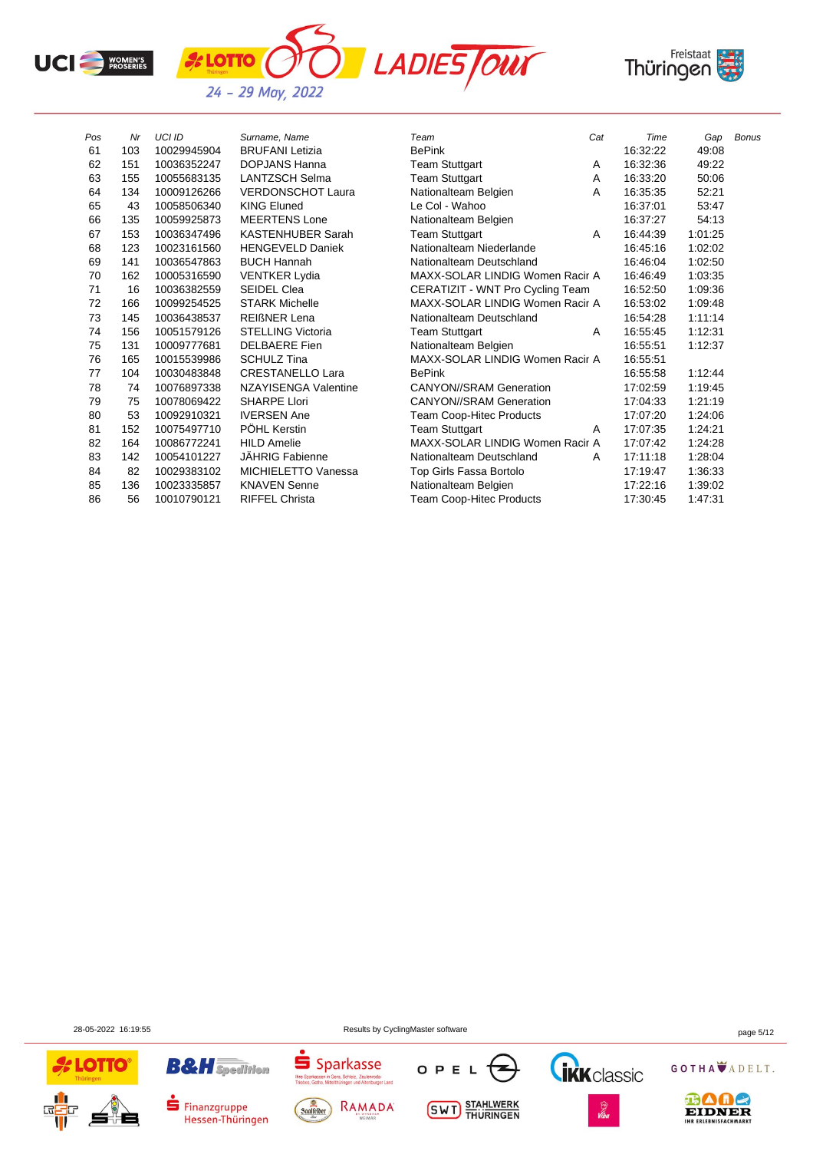



| Pos | Nr  | <b>UCI ID</b> | Surname, Name              | Team                             | Cat | Time     | Gap     | <b>Bonus</b> |
|-----|-----|---------------|----------------------------|----------------------------------|-----|----------|---------|--------------|
| 61  | 103 | 10029945904   | <b>BRUFANI</b> Letizia     | <b>BePink</b>                    |     | 16:32:22 | 49:08   |              |
| 62  | 151 | 10036352247   | <b>DOPJANS Hanna</b>       | <b>Team Stuttgart</b>            | A   | 16:32:36 | 49:22   |              |
| 63  | 155 | 10055683135   | <b>LANTZSCH Selma</b>      | <b>Team Stuttgart</b>            | A   | 16:33:20 | 50:06   |              |
| 64  | 134 | 10009126266   | <b>VERDONSCHOT Laura</b>   | Nationalteam Belgien             | A   | 16:35:35 | 52:21   |              |
| 65  | 43  | 10058506340   | <b>KING Eluned</b>         | Le Col - Wahoo                   |     | 16:37:01 | 53:47   |              |
| 66  | 135 | 10059925873   | <b>MEERTENS Lone</b>       | Nationalteam Belgien             |     | 16:37:27 | 54:13   |              |
| 67  | 153 | 10036347496   | <b>KASTENHUBER Sarah</b>   | <b>Team Stuttgart</b>            | A   | 16:44:39 | 1:01:25 |              |
| 68  | 123 | 10023161560   | <b>HENGEVELD Daniek</b>    | Nationalteam Niederlande         |     | 16:45:16 | 1:02:02 |              |
| 69  | 141 | 10036547863   | <b>BUCH Hannah</b>         | Nationalteam Deutschland         |     | 16:46:04 | 1:02:50 |              |
| 70  | 162 | 10005316590   | <b>VENTKER Lydia</b>       | MAXX-SOLAR LINDIG Women Racir A  |     | 16:46:49 | 1:03:35 |              |
| 71  | 16  | 10036382559   | <b>SEIDEL Clea</b>         | CERATIZIT - WNT Pro Cycling Team |     | 16:52:50 | 1:09:36 |              |
| 72  | 166 | 10099254525   | <b>STARK Michelle</b>      | MAXX-SOLAR LINDIG Women Racir A  |     | 16:53:02 | 1:09:48 |              |
| 73  | 145 | 10036438537   | <b>REIGNER Lena</b>        | Nationalteam Deutschland         |     | 16:54:28 | 1.11.14 |              |
| 74  | 156 | 10051579126   | <b>STELLING Victoria</b>   | <b>Team Stuttgart</b>            | A   | 16:55:45 | 1:12:31 |              |
| 75  | 131 | 10009777681   | <b>DELBAERE</b> Fien       | Nationalteam Belgien             |     | 16:55:51 | 1:12:37 |              |
| 76  | 165 | 10015539986   | <b>SCHULZ Tina</b>         | MAXX-SOLAR LINDIG Women Racir A  |     | 16:55:51 |         |              |
| 77  | 104 | 10030483848   | <b>CRESTANELLO Lara</b>    | <b>BePink</b>                    |     | 16:55:58 | 1:12:44 |              |
| 78  | 74  | 10076897338   | NZAYISENGA Valentine       | <b>CANYON//SRAM Generation</b>   |     | 17:02:59 | 1:19:45 |              |
| 79  | 75  | 10078069422   | <b>SHARPE Llori</b>        | <b>CANYON//SRAM Generation</b>   |     | 17:04:33 | 1:21:19 |              |
| 80  | 53  | 10092910321   | <b>IVERSEN Ane</b>         | <b>Team Coop-Hitec Products</b>  |     | 17:07:20 | 1.24:06 |              |
| 81  | 152 | 10075497710   | PÖHL Kerstin               | <b>Team Stuttgart</b>            | A   | 17:07:35 | 1:24:21 |              |
| 82  | 164 | 10086772241   | <b>HILD Amelie</b>         | MAXX-SOLAR LINDIG Women Racir A  |     | 17:07:42 | 1.24:28 |              |
| 83  | 142 | 10054101227   | <b>JÄHRIG Fabienne</b>     | Nationalteam Deutschland         | A   | 17:11:18 | 1.28:04 |              |
| 84  | 82  | 10029383102   | <b>MICHIELETTO Vanessa</b> | Top Girls Fassa Bortolo          |     | 17:19:47 | 1:36:33 |              |
| 85  | 136 | 10023335857   | <b>KNAVEN Senne</b>        | Nationalteam Belgien             |     | 17:22:16 | 1:39:02 |              |
| 86  | 56  | 10010790121   | <b>RIFFEL Christa</b>      | <b>Team Coop-Hitec Products</b>  |     | 17:30:45 | 1:47:31 |              |

**B&H** Spedition

Hessen-Thüringen

 $\blacksquare$  Finanzgruppe



28-05-2022 16:19:55 Results by CyclingMaster software page 5/12

OPEL

**SWT** STAHLWERK

z

Sparkassen in Gera, Schleiz, Zeulenroda-

Saalfelder

Ihre Sparkassen in Gera, Schleiz, Zeulenroda-<br>Triebes, Gotha, Mittelthüringen und Altenburger Land

RAMADA

GOTHA ADELT.



**GRK** classic

es<br>Viba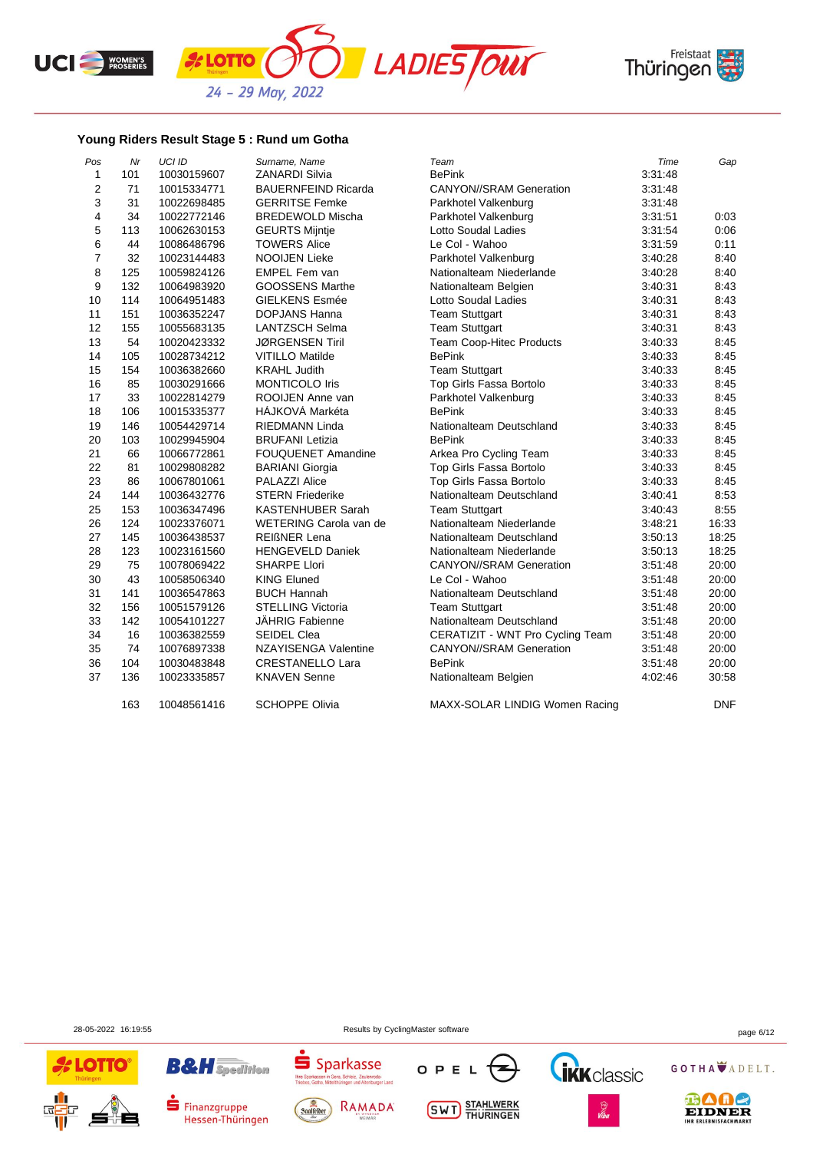





## **Young Riders Result Stage 5 : Rund um Gotha**

*L***OTTO** 

| Pos            | Nr  | <b>UCI ID</b> | Surname, Name              | Team                             | Time    | Gap        |
|----------------|-----|---------------|----------------------------|----------------------------------|---------|------------|
| $\mathbf{1}$   | 101 | 10030159607   | <b>ZANARDI Silvia</b>      | <b>BePink</b>                    | 3:31:48 |            |
| $\overline{2}$ | 71  | 10015334771   | <b>BAUERNFEIND Ricarda</b> | <b>CANYON//SRAM Generation</b>   | 3:31:48 |            |
| 3              | 31  | 10022698485   | <b>GERRITSE Femke</b>      | Parkhotel Valkenburg             | 3:31:48 |            |
| 4              | 34  | 10022772146   | <b>BREDEWOLD Mischa</b>    | Parkhotel Valkenburg             | 3:31:51 | 0:03       |
| 5              | 113 | 10062630153   | <b>GEURTS Mijntje</b>      | Lotto Soudal Ladies              | 3:31:54 | 0:06       |
| 6              | 44  | 10086486796   | <b>TOWERS Alice</b>        | Le Col - Wahoo                   | 3:31:59 | 0:11       |
| $\overline{7}$ | 32  | 10023144483   | <b>NOOIJEN Lieke</b>       | Parkhotel Valkenburg             | 3:40:28 | 8:40       |
| 8              | 125 | 10059824126   | EMPEL Fem van              | Nationalteam Niederlande         | 3:40:28 | 8:40       |
| 9              | 132 | 10064983920   | <b>GOOSSENS Marthe</b>     | Nationalteam Belgien             | 3:40:31 | 8:43       |
| 10             | 114 | 10064951483   | <b>GIELKENS Esmée</b>      | Lotto Soudal Ladies              | 3.40.31 | 8:43       |
| 11             | 151 | 10036352247   | <b>DOPJANS Hanna</b>       | <b>Team Stuttgart</b>            | 3:40:31 | 8:43       |
| 12             | 155 | 10055683135   | <b>LANTZSCH Selma</b>      | <b>Team Stuttgart</b>            | 3:40:31 | 8:43       |
| 13             | 54  | 10020423332   | <b>JØRGENSEN Tiril</b>     | <b>Team Coop-Hitec Products</b>  | 3:40:33 | 8:45       |
| 14             | 105 | 10028734212   | <b>VITILLO Matilde</b>     | <b>BePink</b>                    | 3:40:33 | 8:45       |
| 15             | 154 | 10036382660   | <b>KRAHL Judith</b>        | <b>Team Stuttgart</b>            | 3:40:33 | 8:45       |
| 16             | 85  | 10030291666   | <b>MONTICOLO Iris</b>      | Top Girls Fassa Bortolo          | 3:40:33 | 8:45       |
| 17             | 33  | 10022814279   | ROOIJEN Anne van           | Parkhotel Valkenburg             | 3:40:33 | 8:45       |
| 18             | 106 | 10015335377   | HÁJKOVÁ Markéta            | <b>BePink</b>                    | 3:40:33 | 8:45       |
| 19             | 146 | 10054429714   | <b>RIEDMANN Linda</b>      | Nationalteam Deutschland         | 3:40:33 | 8:45       |
| 20             | 103 | 10029945904   | <b>BRUFANI Letizia</b>     | <b>BePink</b>                    | 3:40:33 | 8:45       |
| 21             | 66  | 10066772861   | <b>FOUQUENET Amandine</b>  | Arkea Pro Cycling Team           | 3:40:33 | 8:45       |
| 22             | 81  | 10029808282   | <b>BARIANI Giorgia</b>     | Top Girls Fassa Bortolo          | 3:40:33 | 8:45       |
| 23             | 86  | 10067801061   | <b>PALAZZI Alice</b>       | Top Girls Fassa Bortolo          | 3:40:33 | 8:45       |
| 24             | 144 | 10036432776   | <b>STERN Friederike</b>    | Nationalteam Deutschland         | 3.40.41 | 8:53       |
| 25             | 153 | 10036347496   | KASTENHUBER Sarah          | <b>Team Stuttgart</b>            | 3:40:43 | 8:55       |
| 26             | 124 | 10023376071   | WETERING Carola van de     | Nationalteam Niederlande         | 3:48:21 | 16:33      |
| 27             | 145 | 10036438537   | <b>REIßNER Lena</b>        | Nationalteam Deutschland         | 3:50:13 | 18:25      |
| 28             | 123 | 10023161560   | <b>HENGEVELD Daniek</b>    | Nationalteam Niederlande         | 3:50:13 | 18:25      |
| 29             | 75  | 10078069422   | <b>SHARPE Llori</b>        | <b>CANYON//SRAM Generation</b>   | 3:51:48 | 20:00      |
| 30             | 43  | 10058506340   | <b>KING Eluned</b>         | Le Col - Wahoo                   | 3:51:48 | 20:00      |
| 31             | 141 | 10036547863   | <b>BUCH Hannah</b>         | Nationalteam Deutschland         | 3.51.48 | 20:00      |
| 32             | 156 | 10051579126   | <b>STELLING Victoria</b>   | <b>Team Stuttgart</b>            | 3:51:48 | 20:00      |
| 33             | 142 | 10054101227   | JÄHRIG Fabienne            | Nationalteam Deutschland         | 3:51:48 | 20:00      |
| 34             | 16  | 10036382559   | <b>SEIDEL Clea</b>         | CERATIZIT - WNT Pro Cycling Team | 3:51:48 | 20:00      |
| 35             | 74  | 10076897338   | NZAYISENGA Valentine       | <b>CANYON//SRAM Generation</b>   | 3:51:48 | 20:00      |
| 36             | 104 | 10030483848   | <b>CRESTANELLO Lara</b>    | <b>BePink</b>                    | 3:51:48 | 20:00      |
| 37             | 136 | 10023335857   | <b>KNAVEN Senne</b>        | Nationalteam Belgien             | 4:02:46 | 30:58      |
|                | 163 | 10048561416   | <b>SCHOPPE Olivia</b>      | MAXX-SOLAR LINDIG Women Racing   |         | <b>DNF</b> |

28-05-2022 16:19:55 Results by CyclingMaster software page 6/12





Finanzgruppe

Hessen-Thüringen





**SWT** STAHLWERK





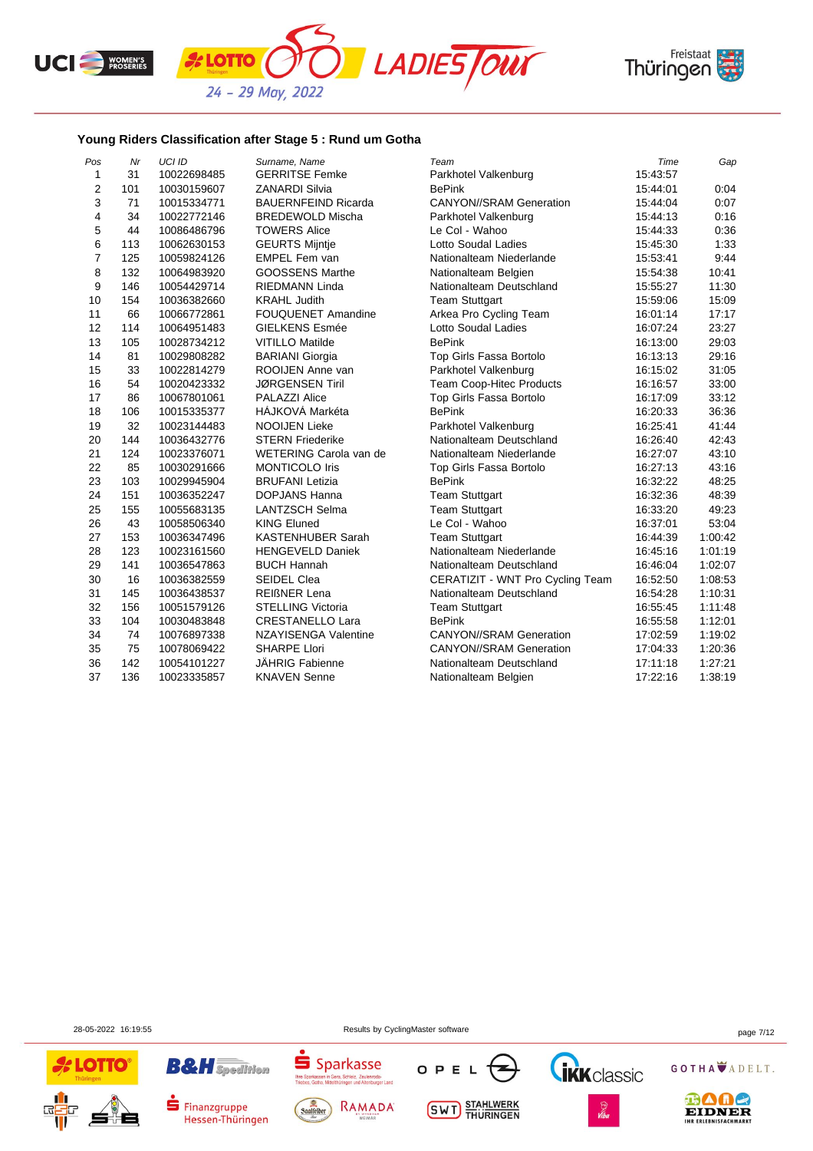





## **Young Riders Classification after Stage 5 : Rund um Gotha**

*k* **LOTTO** 

| Pos            | Mr  | UCI ID      | Surname, Name               | Team                             | Time     | Gap     |
|----------------|-----|-------------|-----------------------------|----------------------------------|----------|---------|
| $\mathbf{1}$   | 31  | 10022698485 | <b>GERRITSE Femke</b>       | Parkhotel Valkenburg             | 15:43:57 |         |
| $\mathbf 2$    | 101 | 10030159607 | <b>ZANARDI Silvia</b>       | <b>BePink</b>                    | 15:44:01 | 0:04    |
| 3              | 71  | 10015334771 | <b>BAUERNFEIND Ricarda</b>  | <b>CANYON//SRAM Generation</b>   | 15:44:04 | 0:07    |
| 4              | 34  | 10022772146 | <b>BREDEWOLD Mischa</b>     | Parkhotel Valkenburg             | 15:44:13 | 0:16    |
| 5              | 44  | 10086486796 | <b>TOWERS Alice</b>         | Le Col - Wahoo                   | 15:44:33 | 0:36    |
| 6              | 113 | 10062630153 | <b>GEURTS Mijntje</b>       | Lotto Soudal Ladies              | 15:45:30 | 1:33    |
| $\overline{7}$ | 125 | 10059824126 | EMPEL Fem van               | Nationalteam Niederlande         | 15:53:41 | 9:44    |
| 8              | 132 | 10064983920 | <b>GOOSSENS Marthe</b>      | Nationalteam Belgien             | 15:54:38 | 10:41   |
| 9              | 146 | 10054429714 | <b>RIEDMANN Linda</b>       | Nationalteam Deutschland         | 15:55:27 | 11:30   |
| 10             | 154 | 10036382660 | <b>KRAHL Judith</b>         | <b>Team Stuttgart</b>            | 15:59:06 | 15:09   |
| 11             | 66  | 10066772861 | FOUQUENET Amandine          | Arkea Pro Cycling Team           | 16:01:14 | 17:17   |
| 12             | 114 | 10064951483 | <b>GIELKENS Esmée</b>       | <b>Lotto Soudal Ladies</b>       | 16:07:24 | 23:27   |
| 13             | 105 | 10028734212 | <b>VITILLO Matilde</b>      | <b>BePink</b>                    | 16:13:00 | 29:03   |
| 14             | 81  | 10029808282 | <b>BARIANI</b> Giorgia      | Top Girls Fassa Bortolo          | 16:13:13 | 29:16   |
| 15             | 33  | 10022814279 | ROOIJEN Anne van            | Parkhotel Valkenburg             | 16:15:02 | 31:05   |
| 16             | 54  | 10020423332 | <b>JØRGENSEN Tiril</b>      | Team Coop-Hitec Products         | 16:16:57 | 33:00   |
| 17             | 86  | 10067801061 | <b>PALAZZI Alice</b>        | Top Girls Fassa Bortolo          | 16:17:09 | 33:12   |
| 18             | 106 | 10015335377 | HÁJKOVÁ Markéta             | <b>BePink</b>                    | 16:20:33 | 36:36   |
| 19             | 32  | 10023144483 | <b>NOOIJEN Lieke</b>        | Parkhotel Valkenburg             | 16:25:41 | 41:44   |
| 20             | 144 | 10036432776 | <b>STERN Friederike</b>     | Nationalteam Deutschland         | 16:26:40 | 42:43   |
| 21             | 124 | 10023376071 | WETERING Carola van de      | Nationalteam Niederlande         | 16:27:07 | 43:10   |
| 22             | 85  | 10030291666 | <b>MONTICOLO Iris</b>       | Top Girls Fassa Bortolo          | 16:27:13 | 43:16   |
| 23             | 103 | 10029945904 | <b>BRUFANI Letizia</b>      | <b>BePink</b>                    | 16:32:22 | 48:25   |
| 24             | 151 | 10036352247 | <b>DOPJANS Hanna</b>        | <b>Team Stuttgart</b>            | 16:32:36 | 48:39   |
| 25             | 155 | 10055683135 | <b>LANTZSCH Selma</b>       | <b>Team Stuttgart</b>            | 16:33:20 | 49:23   |
| 26             | 43  | 10058506340 | <b>KING Eluned</b>          | Le Col - Wahoo                   | 16:37:01 | 53:04   |
| 27             | 153 | 10036347496 | <b>KASTENHUBER Sarah</b>    | <b>Team Stuttgart</b>            | 16:44:39 | 1:00:42 |
| 28             | 123 | 10023161560 | <b>HENGEVELD Daniek</b>     | Nationalteam Niederlande         | 16:45:16 | 1:01:19 |
| 29             | 141 | 10036547863 | <b>BUCH Hannah</b>          | Nationalteam Deutschland         | 16:46:04 | 1:02:07 |
| 30             | 16  | 10036382559 | <b>SEIDEL Clea</b>          | CERATIZIT - WNT Pro Cycling Team | 16:52:50 | 1:08:53 |
| 31             | 145 | 10036438537 | <b>REIßNER Lena</b>         | Nationalteam Deutschland         | 16:54:28 | 1:10:31 |
| 32             | 156 | 10051579126 | <b>STELLING Victoria</b>    | <b>Team Stuttgart</b>            | 16:55:45 | 1:11:48 |
| 33             | 104 | 10030483848 | <b>CRESTANELLO Lara</b>     | <b>BePink</b>                    | 16:55:58 | 1:12:01 |
| 34             | 74  | 10076897338 | <b>NZAYISENGA Valentine</b> | <b>CANYON//SRAM Generation</b>   | 17:02:59 | 1:19:02 |
| 35             | 75  | 10078069422 | <b>SHARPE Llori</b>         | <b>CANYON//SRAM Generation</b>   | 17:04:33 | 1:20:36 |
| 36             | 142 | 10054101227 | <b>JAHRIG Fabienne</b>      | Nationalteam Deutschland         | 17:11:18 | 1:27:21 |
| 37             | 136 | 10023335857 | <b>KNAVEN Senne</b>         | Nationalteam Belgien             | 17:22:16 | 1:38:19 |

28-05-2022 16:19:55 Results by CyclingMaster software page 7/12



**B&H** Spedition

Finanzgruppe

Hessen-Thüringen





**SWT** STAHLWERK



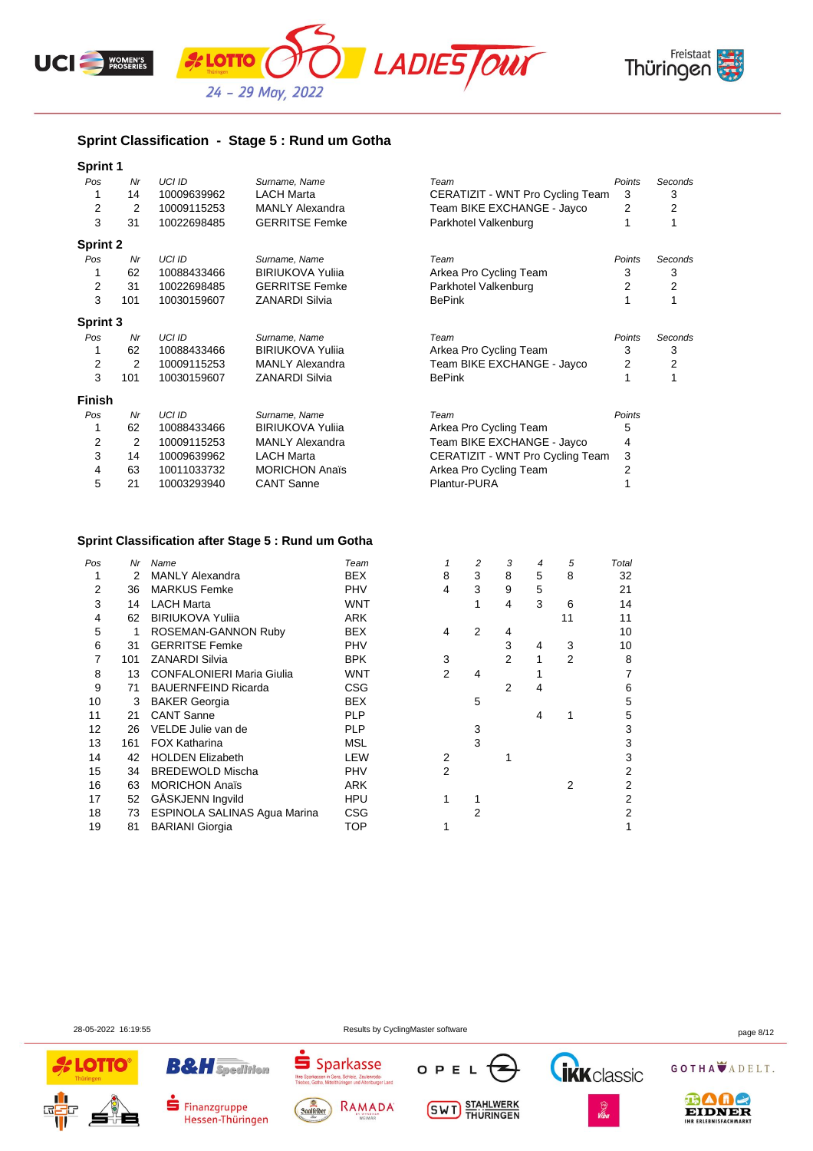





## **Sprint Classification - Stage 5 : Rund um Gotha**

| <b>Sprint 1</b> |     |               |                         |                                  |                |         |
|-----------------|-----|---------------|-------------------------|----------------------------------|----------------|---------|
| Pos             | Nr  | <b>UCI ID</b> | Surname, Name           | Team                             | Points         | Seconds |
|                 | 14  | 10009639962   | <b>LACH Marta</b>       | CERATIZIT - WNT Pro Cycling Team | 3              | 3       |
| 2               | 2   | 10009115253   | <b>MANLY Alexandra</b>  | Team BIKE EXCHANGE - Jayco       | 2              | 2       |
| 3               | 31  | 10022698485   | <b>GERRITSE Femke</b>   | Parkhotel Valkenburg             |                |         |
| <b>Sprint 2</b> |     |               |                         |                                  |                |         |
| Pos             | Nr  | <b>UCI ID</b> | Surname, Name           | Team                             | Points         | Seconds |
|                 | 62  | 10088433466   | <b>BIRIUKOVA Yulija</b> | Arkea Pro Cycling Team           | 3              | 3       |
| 2               | 31  | 10022698485   | <b>GERRITSE Femke</b>   | Parkhotel Valkenburg             | 2              | 2       |
| 3               | 101 | 10030159607   | <b>ZANARDI Silvia</b>   | <b>BePink</b>                    |                |         |
| Sprint 3        |     |               |                         |                                  |                |         |
| Pos             | Nr  | <b>UCI ID</b> | Surname, Name           | Team                             | Points         | Seconds |
|                 | 62  | 10088433466   | <b>BIRIUKOVA Yulija</b> | Arkea Pro Cycling Team           | 3              | 3       |
| 2               | 2   | 10009115253   | <b>MANLY Alexandra</b>  | Team BIKE EXCHANGE - Jayco       | 2              | 2       |
| 3               | 101 | 10030159607   | <b>ZANARDI Silvia</b>   | <b>BePink</b>                    |                |         |
| <b>Finish</b>   |     |               |                         |                                  |                |         |
| Pos             | Nr  | <b>UCI ID</b> | Surname, Name           | Team                             | Points         |         |
|                 | 62  | 10088433466   | <b>BIRIUKOVA Yulija</b> | Arkea Pro Cycling Team           | 5              |         |
| 2               | 2   | 10009115253   | <b>MANLY Alexandra</b>  | Team BIKE EXCHANGE - Jayco       | 4              |         |
| 3               | 14  | 10009639962   | <b>LACH Marta</b>       | CERATIZIT - WNT Pro Cycling Team | 3              |         |
| 4               | 63  | 10011033732   | <b>MORICHON Anaïs</b>   | Arkea Pro Cycling Team           | $\overline{2}$ |         |
| 5               | 21  | 10003293940   | <b>CANT Sanne</b>       | Plantur-PURA                     |                |         |
|                 |     |               |                         |                                  |                |         |

### **Sprint Classification after Stage 5 : Rund um Gotha**

| Pos | Nr  | Name                             | Team       |   | 2 | 3 | 4 | 5  | Total |
|-----|-----|----------------------------------|------------|---|---|---|---|----|-------|
|     | 2   | <b>MANLY Alexandra</b>           | <b>BEX</b> | 8 | 3 | 8 | 5 | 8  | 32    |
| 2   | 36  | <b>MARKUS Femke</b>              | <b>PHV</b> | 4 | 3 | 9 | 5 |    | 21    |
| 3   | 14  | <b>LACH Marta</b>                | WNT        |   |   | 4 | 3 | 6  | 14    |
| 4   | 62  | <b>BIRIUKOVA Yulija</b>          | <b>ARK</b> |   |   |   |   | 11 | 11    |
| 5   | 1   | ROSEMAN-GANNON Ruby              | <b>BEX</b> | 4 | 2 | 4 |   |    | 10    |
| 6   | 31  | <b>GERRITSE Femke</b>            | <b>PHV</b> |   |   | 3 | 4 | 3  | 10    |
|     | 101 | <b>ZANARDI Silvia</b>            | <b>BPK</b> | 3 |   | 2 |   | 2  | 8     |
| 8   | 13  | <b>CONFALONIERI Maria Giulia</b> | WNT        | 2 | 4 |   |   |    | 7     |
| 9   | 71  | <b>BAUERNFEIND Ricarda</b>       | CSG        |   |   | 2 | 4 |    | 6     |
| 10  | 3   | <b>BAKER Georgia</b>             | <b>BEX</b> |   | 5 |   |   |    | 5     |
| 11  | 21  | <b>CANT Sanne</b>                | <b>PLP</b> |   |   |   | 4 |    | 5     |
| 12  | 26  | VELDE Julie van de               | <b>PLP</b> |   | 3 |   |   |    | 3     |
| 13  | 161 | <b>FOX Katharina</b>             | MSL        |   | 3 |   |   |    | 3     |
| 14  | 42  | <b>HOLDEN Elizabeth</b>          | LEW        | 2 |   |   |   |    | 3     |
| 15  | 34  | <b>BREDEWOLD Mischa</b>          | <b>PHV</b> | 2 |   |   |   |    | 2     |
| 16  | 63  | <b>MORICHON Anaïs</b>            | ARK        |   |   |   |   | 2  | 2     |
| 17  | 52  | GÅSKJENN Ingvild                 | HPU        |   |   |   |   |    | 2     |
| 18  | 73  | ESPINOLA SALINAS Agua Marina     | <b>CSG</b> |   | 2 |   |   |    | 2     |
| 19  | 81  | <b>BARIANI Giorgia</b>           | TOP        |   |   |   |   |    | 1     |
|     |     |                                  |            |   |   |   |   |    |       |

**B&H** Spedition

Finanzgruppe

Hessen-Thüringen

OPEL

**SWT** STAHLWERK





28-05-2022 16:19:55 Results by CyclingMaster software page 8/12

 $S<sub>parkasse</sub>$ 

**Thre Sp**<br>Trinhas

Saalfelder

Jd | Kd SSC<br>| Gera, Schleiz, Zeulenroda-<br>|ttelthüringen und Altenburger Land

RAMADA

GOTHA ADELT.



**TRK** classic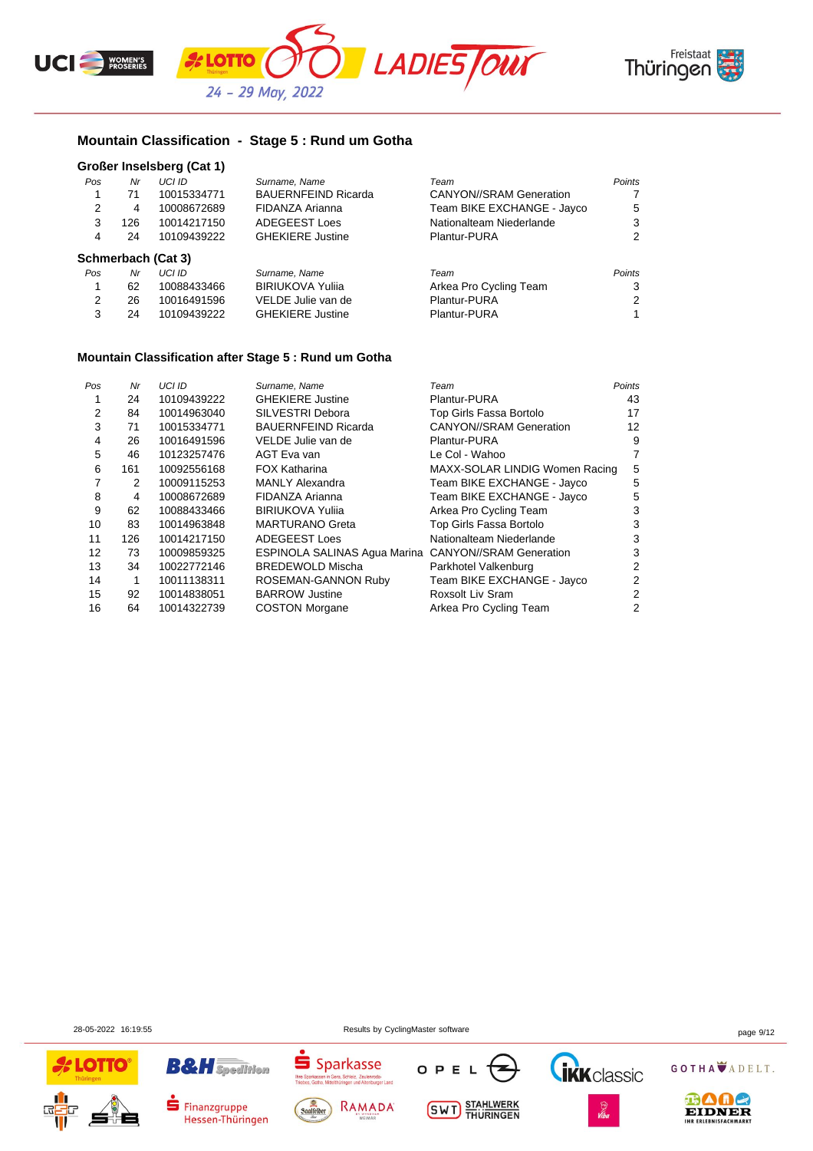



## **Mountain Classification - Stage 5 : Rund um Gotha**

### **Großer Inselsberg (Cat 1)**

| Nr  | UCI ID      | Surname, Name              | Team                           | Points |
|-----|-------------|----------------------------|--------------------------------|--------|
| 71  | 10015334771 | <b>BAUERNFEIND Ricarda</b> | <b>CANYON//SRAM Generation</b> | 7      |
| 4   | 10008672689 | FIDANZA Arianna            | Team BIKE EXCHANGE - Jayco     | 5      |
| 126 | 10014217150 | <b>ADEGEEST Loes</b>       | Nationalteam Niederlande       | 3      |
| 24  | 10109439222 | <b>GHEKIERE Justine</b>    | Plantur-PURA                   | 2      |
|     |             |                            |                                |        |
| Nr  | UCI ID      | Surname, Name              | Team                           | Points |
| 62  | 10088433466 | <b>BIRIUKOVA Yulija</b>    | Arkea Pro Cycling Team         | 3      |
| 26  | 10016491596 | VELDE Julie van de         | Plantur-PURA                   | 2      |
| 24  | 10109439222 | <b>GHEKIERE Justine</b>    | Plantur-PURA                   | 1.     |
|     |             | Schmerbach (Cat 3)         |                                |        |

### **Mountain Classification after Stage 5 : Rund um Gotha**

| Pos | Nr  | UCI ID      | Surname, Name                                               | Team                           | Points |
|-----|-----|-------------|-------------------------------------------------------------|--------------------------------|--------|
|     | 24  | 10109439222 | <b>GHEKIERE Justine</b>                                     | Plantur-PURA                   | 43     |
| 2   | 84  | 10014963040 | SILVESTRI Debora                                            | Top Girls Fassa Bortolo        | 17     |
| 3   | 71  | 10015334771 | <b>BAUERNFEIND Ricarda</b>                                  | <b>CANYON//SRAM Generation</b> | 12     |
| 4   | 26  | 10016491596 | VELDE Julie van de                                          | Plantur-PURA                   | 9      |
| 5   | 46  | 10123257476 | AGT Eva van                                                 | Le Col - Wahoo                 | 7      |
| 6   | 161 | 10092556168 | <b>FOX Katharina</b>                                        | MAXX-SOLAR LINDIG Women Racing | 5      |
|     | 2   | 10009115253 | <b>MANLY Alexandra</b>                                      | Team BIKE EXCHANGE - Jayco     | 5      |
| 8   | 4   | 10008672689 | FIDANZA Arianna                                             | Team BIKE EXCHANGE - Jayco     | 5      |
| 9   | 62  | 10088433466 | <b>BIRIUKOVA Yulija</b>                                     | Arkea Pro Cycling Team         | 3      |
| 10  | 83  | 10014963848 | <b>MARTURANO Greta</b>                                      | Top Girls Fassa Bortolo        | 3      |
| 11  | 126 | 10014217150 | <b>ADEGEEST Loes</b>                                        | Nationalteam Niederlande       | 3      |
| 12  | 73  | 10009859325 | <b>ESPINOLA SALINAS Agua Marina CANYON//SRAM Generation</b> |                                | 3      |
| 13  | 34  | 10022772146 | <b>BREDEWOLD Mischa</b>                                     | Parkhotel Valkenburg           | 2      |
| 14  | 1   | 10011138311 | ROSEMAN-GANNON Ruby                                         | Team BIKE EXCHANGE - Jayco     | 2      |
| 15  | 92  | 10014838051 | <b>BARROW Justine</b>                                       | Roxsolt Liv Sram               | 2      |
| 16  | 64  | 10014322739 | <b>COSTON Morgane</b>                                       | Arkea Pro Cycling Team         | 2      |

28-05-2022 16:19:55 Results by CyclingMaster software page 9/12





Finanzgruppe

Hessen-Thüringen









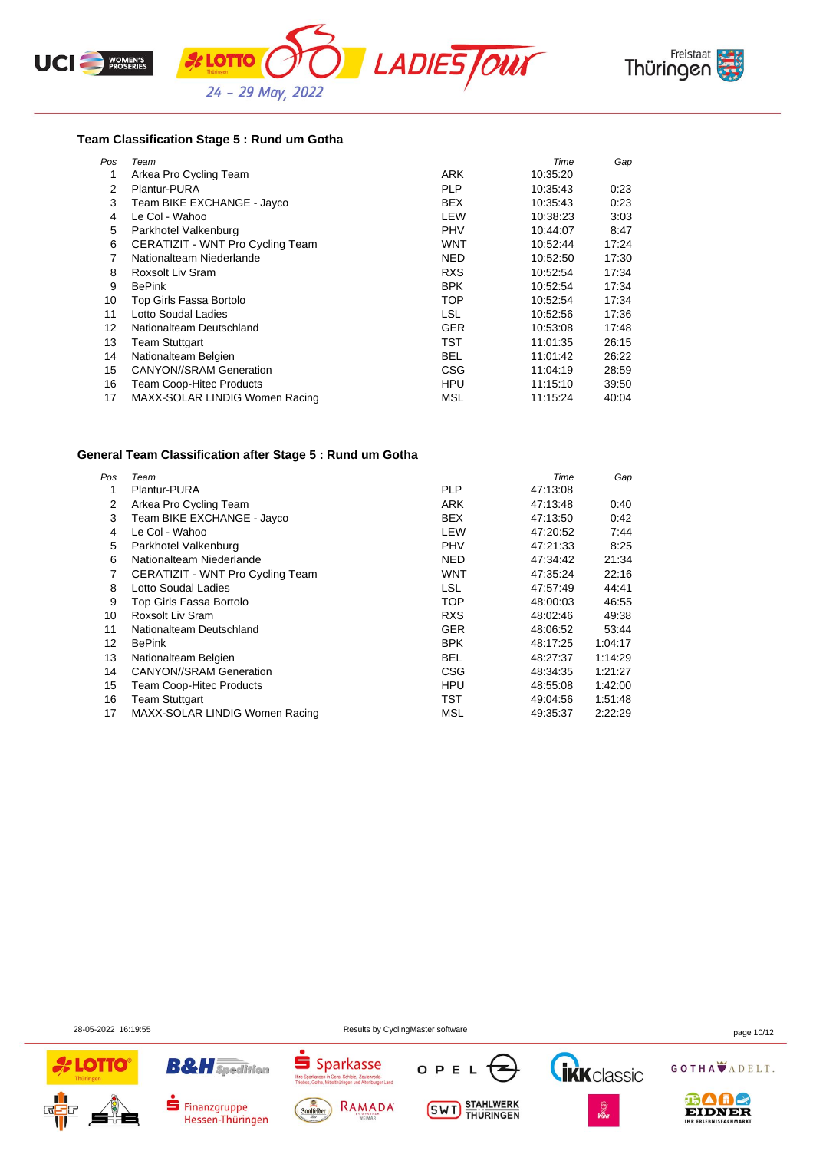





### **Team Classification Stage 5 : Rund um Gotha**

| Pos | Team                             |            | Time     | Gap   |
|-----|----------------------------------|------------|----------|-------|
| 1   | Arkea Pro Cycling Team           | <b>ARK</b> | 10:35:20 |       |
| 2   | Plantur-PURA                     | <b>PLP</b> | 10:35:43 | 0:23  |
| 3   | Team BIKE EXCHANGE - Jayco       | <b>BEX</b> | 10:35:43 | 0:23  |
| 4   | Le Col - Wahoo                   | LEW        | 10.38.23 | 3:03  |
| 5   | Parkhotel Valkenburg             | <b>PHV</b> | 10:44:07 | 8:47  |
| 6   | CERATIZIT - WNT Pro Cycling Team | WNT        | 10:52:44 | 17:24 |
| 7   | Nationalteam Niederlande         | <b>NED</b> | 10:52:50 | 17:30 |
| 8   | Roxsolt Liv Sram                 | <b>RXS</b> | 10:52:54 | 17:34 |
| 9   | <b>BePink</b>                    | <b>BPK</b> | 10:52:54 | 17:34 |
| 10  | Top Girls Fassa Bortolo          | <b>TOP</b> | 10:52:54 | 17:34 |
| 11  | Lotto Soudal Ladies              | <b>LSL</b> | 10:52:56 | 17:36 |
| 12  | Nationalteam Deutschland         | <b>GER</b> | 10:53:08 | 17:48 |
| 13  | Team Stuttgart                   | <b>TST</b> | 11:01:35 | 26:15 |
| 14  | Nationalteam Belgien             | <b>BEL</b> | 11:01:42 | 26:22 |
| 15  | <b>CANYON//SRAM Generation</b>   | CSG        | 11:04:19 | 28:59 |
| 16  | <b>Team Coop-Hitec Products</b>  | <b>HPU</b> | 11:15:10 | 39:50 |
| 17  | MAXX-SOLAR LINDIG Women Racing   | MSL        | 11:15:24 | 40:04 |

### **General Team Classification after Stage 5 : Rund um Gotha**

| Pos | Team                             |            | Time     | Gap     |
|-----|----------------------------------|------------|----------|---------|
| 1   | Plantur-PURA                     | <b>PLP</b> | 47:13:08 |         |
| 2   | Arkea Pro Cycling Team           | <b>ARK</b> | 47:13:48 | 0:40    |
| 3   | Team BIKE EXCHANGE - Jayco       | <b>BEX</b> | 47:13:50 | 0:42    |
| 4   | Le Col - Wahoo                   | LEW        | 47.20.52 | 7:44    |
| 5   | Parkhotel Valkenburg             | <b>PHV</b> | 47:21:33 | 8:25    |
| 6   | Nationalteam Niederlande         | <b>NED</b> | 47:34:42 | 21:34   |
| 7   | CERATIZIT - WNT Pro Cycling Team | WNT        | 47:35:24 | 22:16   |
| 8   | Lotto Soudal Ladies              | <b>LSL</b> | 47:57:49 | 44:41   |
| 9   | Top Girls Fassa Bortolo          | <b>TOP</b> | 48:00:03 | 46:55   |
| 10  | Roxsolt Liv Sram                 | <b>RXS</b> | 48:02:46 | 49:38   |
| 11  | Nationalteam Deutschland         | <b>GER</b> | 48:06:52 | 53:44   |
| 12  | <b>BePink</b>                    | <b>BPK</b> | 48:17:25 | 1:04:17 |
| 13  | Nationalteam Belgien             | <b>BEL</b> | 48:27:37 | 1:14:29 |
| 14  | <b>CANYON//SRAM Generation</b>   | <b>CSG</b> | 48:34:35 | 1:21:27 |
| 15  | <b>Team Coop-Hitec Products</b>  | <b>HPU</b> | 48.55.08 | 1:42:00 |
| 16  | <b>Team Stuttgart</b>            | TST        | 49:04:56 | 1:51:48 |
| 17  | MAXX-SOLAR LINDIG Women Racing   | MSL        | 49.35.37 | 2:22:29 |

28-05-2022 16:19:55 Results by CyclingMaster software page 10/12





Finanzgruppe

Hessen-Thüringen





**SWT** STAHLWERK



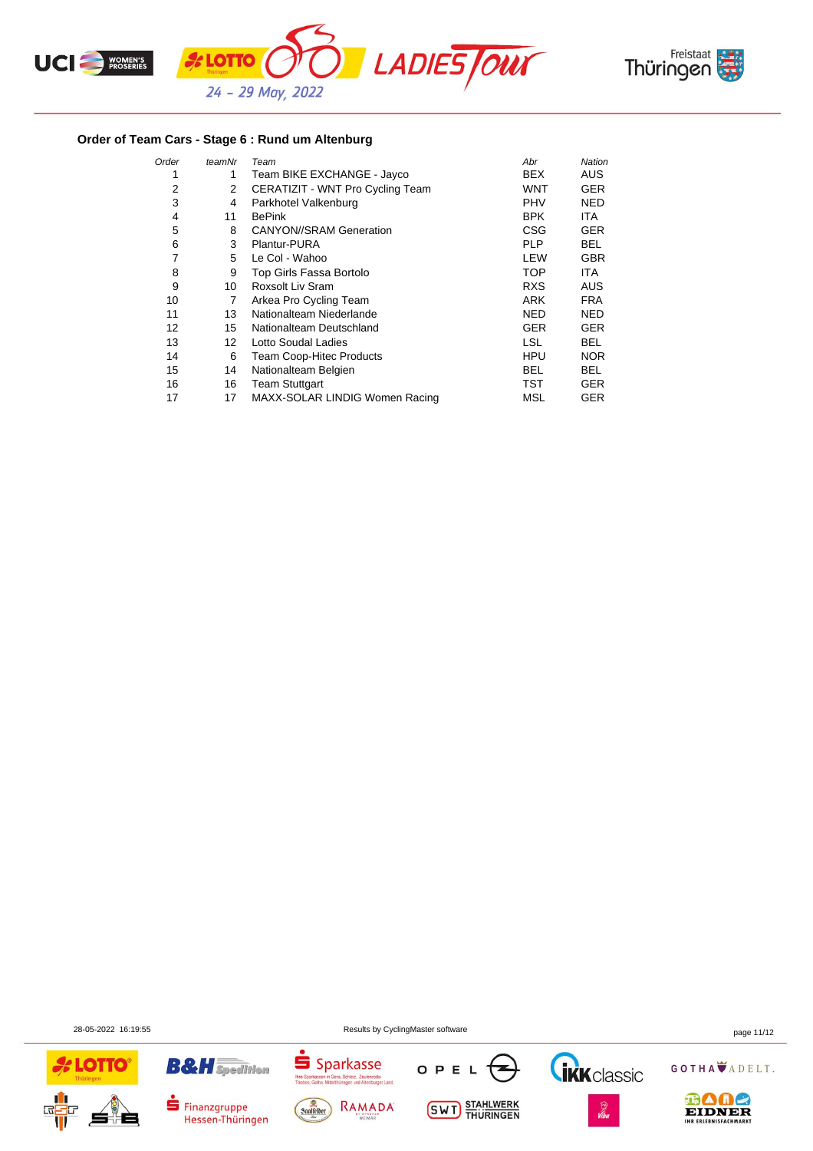



## **Order of Team Cars - Stage 6 : Rund um Altenburg**

| Order | teamNr | Team                             | Abr        | Nation     |
|-------|--------|----------------------------------|------------|------------|
| 1     | 1      | Team BIKE EXCHANGE - Jayco       | <b>BEX</b> | <b>AUS</b> |
| 2     | 2      | CERATIZIT - WNT Pro Cycling Team | <b>WNT</b> | <b>GER</b> |
| 3     | 4      | Parkhotel Valkenburg             | <b>PHV</b> | <b>NED</b> |
| 4     | 11     | <b>BePink</b>                    | <b>BPK</b> | ITA.       |
| 5     | 8      | <b>CANYON//SRAM Generation</b>   | CSG        | <b>GER</b> |
| 6     | 3      | Plantur-PURA                     | <b>PLP</b> | BEL.       |
| 7     | 5      | Le Col - Wahoo                   | LEW        | <b>GBR</b> |
| 8     | 9      | Top Girls Fassa Bortolo          | TOP        | <b>ITA</b> |
| 9     | 10     | Roxsolt Liv Sram                 | <b>RXS</b> | <b>AUS</b> |
| 10    | 7      | Arkea Pro Cycling Team           | <b>ARK</b> | <b>FRA</b> |
| 11    | 13     | Nationalteam Niederlande         | NED        | <b>NED</b> |
| 12    | 15     | Nationalteam Deutschland         | <b>GER</b> | <b>GER</b> |
| 13    | 12     | Lotto Soudal Ladies              | <b>LSL</b> | <b>BEL</b> |
| 14    | 6      | Team Coop-Hitec Products         | <b>HPU</b> | <b>NOR</b> |
| 15    | 14     | Nationalteam Belgien             | BEL        | BEL.       |
| 16    | 16     | <b>Team Stuttgart</b>            | TST        | <b>GER</b> |
| 17    | 17     | MAXX-SOLAR LINDIG Women Racing   | MSL        | <b>GER</b> |

28-05-2022 16:19:55 Results by CyclingMaster software page 11/12









**SWT** STAHLWERK